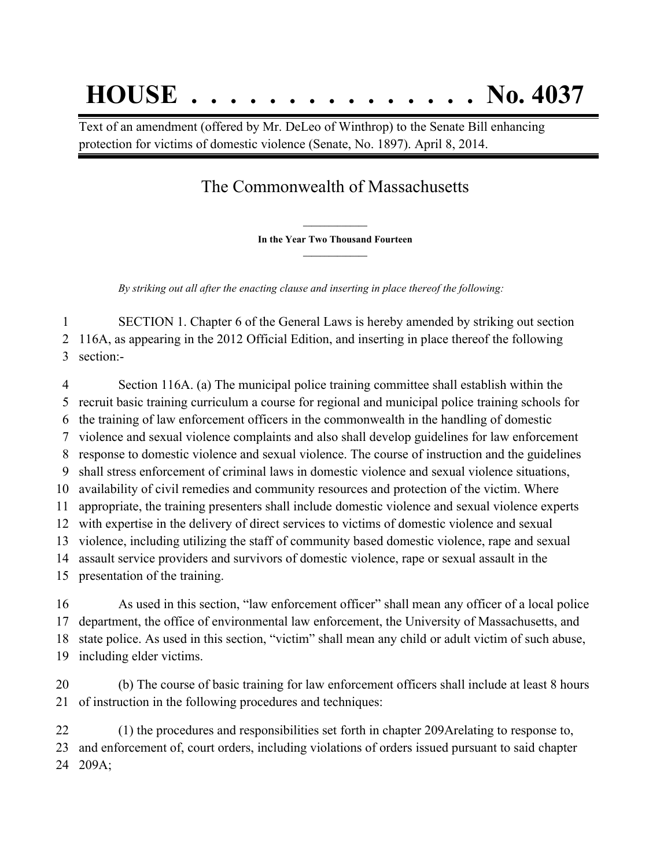## **HOUSE . . . . . . . . . . . . . . . No. 4037**

Text of an amendment (offered by Mr. DeLeo of Winthrop) to the Senate Bill enhancing protection for victims of domestic violence (Senate, No. 1897). April 8, 2014.

## The Commonwealth of Massachusetts

**\_\_\_\_\_\_\_\_\_\_\_\_\_\_\_ In the Year Two Thousand Fourteen \_\_\_\_\_\_\_\_\_\_\_\_\_\_\_**

*By striking out all after the enacting clause and inserting in place thereof the following:*

 SECTION 1. Chapter 6 of the General Laws is hereby amended by striking out section 116A, as appearing in the 2012 Official Edition, and inserting in place thereof the following section:-

 Section 116A. (a) The municipal police training committee shall establish within the recruit basic training curriculum a course for regional and municipal police training schools for the training of law enforcement officers in the commonwealth in the handling of domestic violence and sexual violence complaints and also shall develop guidelines for law enforcement response to domestic violence and sexual violence. The course of instruction and the guidelines shall stress enforcement of criminal laws in domestic violence and sexual violence situations, availability of civil remedies and community resources and protection of the victim. Where appropriate, the training presenters shall include domestic violence and sexual violence experts with expertise in the delivery of direct services to victims of domestic violence and sexual violence, including utilizing the staff of community based domestic violence, rape and sexual assault service providers and survivors of domestic violence, rape or sexual assault in the presentation of the training. As used in this section, "law enforcement officer" shall mean any officer of a local police

 department, the office of environmental law enforcement, the University of Massachusetts, and state police. As used in this section, "victim" shall mean any child or adult victim of such abuse, including elder victims.

 (b) The course of basic training for law enforcement officers shall include at least 8 hours of instruction in the following procedures and techniques:

 (1) the procedures and responsibilities set forth in chapter 209Arelating to response to, and enforcement of, court orders, including violations of orders issued pursuant to said chapter 209A;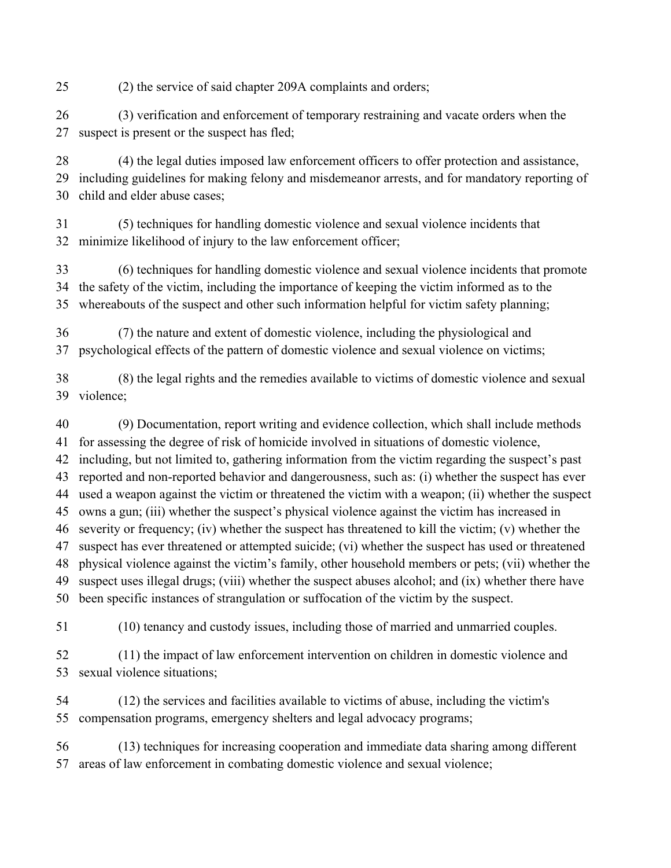(2) the service of said chapter 209A complaints and orders;

 (3) verification and enforcement of temporary restraining and vacate orders when the suspect is present or the suspect has fled;

 (4) the legal duties imposed law enforcement officers to offer protection and assistance, including guidelines for making felony and misdemeanor arrests, and for mandatory reporting of child and elder abuse cases;

 (5) techniques for handling domestic violence and sexual violence incidents that minimize likelihood of injury to the law enforcement officer;

 (6) techniques for handling domestic violence and sexual violence incidents that promote the safety of the victim, including the importance of keeping the victim informed as to the whereabouts of the suspect and other such information helpful for victim safety planning;

 (7) the nature and extent of domestic violence, including the physiological and psychological effects of the pattern of domestic violence and sexual violence on victims;

 (8) the legal rights and the remedies available to victims of domestic violence and sexual violence;

 (9) Documentation, report writing and evidence collection, which shall include methods for assessing the degree of risk of homicide involved in situations of domestic violence, including, but not limited to, gathering information from the victim regarding the suspect's past reported and non-reported behavior and dangerousness, such as: (i) whether the suspect has ever used a weapon against the victim or threatened the victim with a weapon; (ii) whether the suspect owns a gun; (iii) whether the suspect's physical violence against the victim has increased in severity or frequency; (iv) whether the suspect has threatened to kill the victim; (v) whether the suspect has ever threatened or attempted suicide; (vi) whether the suspect has used or threatened physical violence against the victim's family, other household members or pets; (vii) whether the suspect uses illegal drugs; (viii) whether the suspect abuses alcohol; and (ix) whether there have been specific instances of strangulation or suffocation of the victim by the suspect.

(10) tenancy and custody issues, including those of married and unmarried couples.

 (11) the impact of law enforcement intervention on children in domestic violence and sexual violence situations;

 (12) the services and facilities available to victims of abuse, including the victim's compensation programs, emergency shelters and legal advocacy programs;

 (13) techniques for increasing cooperation and immediate data sharing among different areas of law enforcement in combating domestic violence and sexual violence;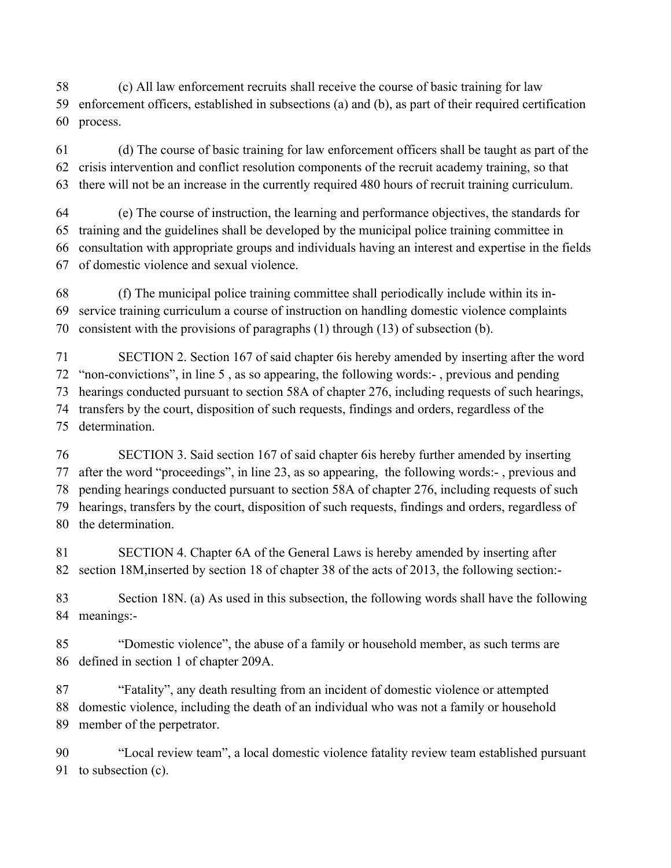(c) All law enforcement recruits shall receive the course of basic training for law enforcement officers, established in subsections (a) and (b), as part of their required certification process.

 (d) The course of basic training for law enforcement officers shall be taught as part of the crisis intervention and conflict resolution components of the recruit academy training, so that there will not be an increase in the currently required 480 hours of recruit training curriculum.

 (e) The course of instruction, the learning and performance objectives, the standards for training and the guidelines shall be developed by the municipal police training committee in consultation with appropriate groups and individuals having an interest and expertise in the fields of domestic violence and sexual violence.

 (f) The municipal police training committee shall periodically include within its in- service training curriculum a course of instruction on handling domestic violence complaints consistent with the provisions of paragraphs (1) through (13) of subsection (b).

 SECTION 2. Section 167 of said chapter 6is hereby amended by inserting after the word "non-convictions", in line 5 , as so appearing, the following words:- , previous and pending hearings conducted pursuant to section 58A of chapter 276, including requests of such hearings, transfers by the court, disposition of such requests, findings and orders, regardless of the determination.

 SECTION 3. Said section 167 of said chapter 6is hereby further amended by inserting after the word "proceedings", in line 23, as so appearing, the following words:- , previous and pending hearings conducted pursuant to section 58A of chapter 276, including requests of such hearings, transfers by the court, disposition of such requests, findings and orders, regardless of the determination.

 SECTION 4. Chapter 6A of the General Laws is hereby amended by inserting after section 18M,inserted by section 18 of chapter 38 of the acts of 2013, the following section:-

 Section 18N. (a) As used in this subsection, the following words shall have the following meanings:-

 "Domestic violence", the abuse of a family or household member, as such terms are defined in section 1 of chapter 209A.

 "Fatality", any death resulting from an incident of domestic violence or attempted domestic violence, including the death of an individual who was not a family or household member of the perpetrator.

 "Local review team", a local domestic violence fatality review team established pursuant to subsection (c).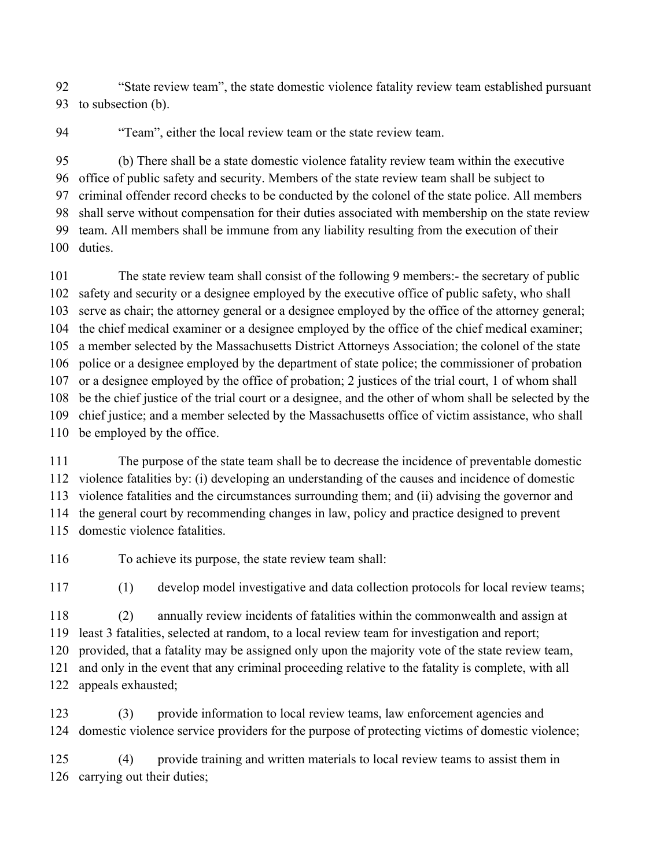"State review team", the state domestic violence fatality review team established pursuant to subsection (b).

"Team", either the local review team or the state review team.

 (b) There shall be a state domestic violence fatality review team within the executive office of public safety and security. Members of the state review team shall be subject to criminal offender record checks to be conducted by the colonel of the state police. All members shall serve without compensation for their duties associated with membership on the state review team. All members shall be immune from any liability resulting from the execution of their duties.

 The state review team shall consist of the following 9 members:- the secretary of public safety and security or a designee employed by the executive office of public safety, who shall serve as chair; the attorney general or a designee employed by the office of the attorney general; the chief medical examiner or a designee employed by the office of the chief medical examiner; a member selected by the Massachusetts District Attorneys Association; the colonel of the state police or a designee employed by the department of state police; the commissioner of probation or a designee employed by the office of probation; 2 justices of the trial court, 1 of whom shall be the chief justice of the trial court or a designee, and the other of whom shall be selected by the chief justice; and a member selected by the Massachusetts office of victim assistance, who shall be employed by the office.

 The purpose of the state team shall be to decrease the incidence of preventable domestic violence fatalities by: (i) developing an understanding of the causes and incidence of domestic violence fatalities and the circumstances surrounding them; and (ii) advising the governor and the general court by recommending changes in law, policy and practice designed to prevent domestic violence fatalities.

To achieve its purpose, the state review team shall:

(1) develop model investigative and data collection protocols for local review teams;

 (2) annually review incidents of fatalities within the commonwealth and assign at least 3 fatalities, selected at random, to a local review team for investigation and report; provided, that a fatality may be assigned only upon the majority vote of the state review team,

 and only in the event that any criminal proceeding relative to the fatality is complete, with all appeals exhausted;

 (3) provide information to local review teams, law enforcement agencies and domestic violence service providers for the purpose of protecting victims of domestic violence;

 (4) provide training and written materials to local review teams to assist them in carrying out their duties;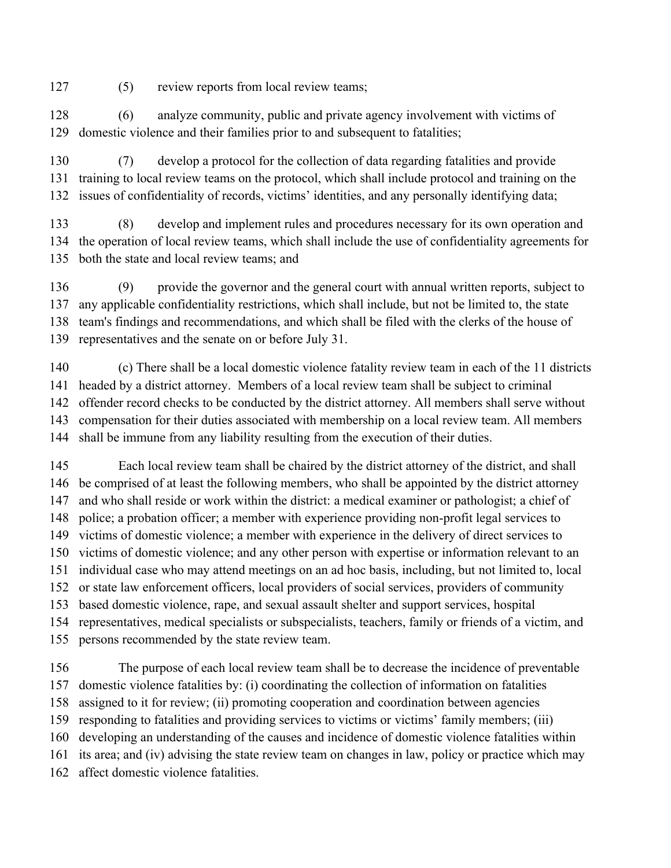(5) review reports from local review teams;

 (6) analyze community, public and private agency involvement with victims of domestic violence and their families prior to and subsequent to fatalities;

 (7) develop a protocol for the collection of data regarding fatalities and provide training to local review teams on the protocol, which shall include protocol and training on the issues of confidentiality of records, victims' identities, and any personally identifying data;

 (8) develop and implement rules and procedures necessary for its own operation and the operation of local review teams, which shall include the use of confidentiality agreements for both the state and local review teams; and

 (9) provide the governor and the general court with annual written reports, subject to any applicable confidentiality restrictions, which shall include, but not be limited to, the state team's findings and recommendations, and which shall be filed with the clerks of the house of representatives and the senate on or before July 31.

 (c) There shall be a local domestic violence fatality review team in each of the 11 districts headed by a district attorney. Members of a local review team shall be subject to criminal offender record checks to be conducted by the district attorney. All members shall serve without compensation for their duties associated with membership on a local review team. All members shall be immune from any liability resulting from the execution of their duties.

 Each local review team shall be chaired by the district attorney of the district, and shall be comprised of at least the following members, who shall be appointed by the district attorney and who shall reside or work within the district: a medical examiner or pathologist; a chief of police; a probation officer; a member with experience providing non-profit legal services to victims of domestic violence; a member with experience in the delivery of direct services to victims of domestic violence; and any other person with expertise or information relevant to an individual case who may attend meetings on an ad hoc basis, including, but not limited to, local or state law enforcement officers, local providers of social services, providers of community based domestic violence, rape, and sexual assault shelter and support services, hospital representatives, medical specialists or subspecialists, teachers, family or friends of a victim, and persons recommended by the state review team.

 The purpose of each local review team shall be to decrease the incidence of preventable domestic violence fatalities by: (i) coordinating the collection of information on fatalities assigned to it for review; (ii) promoting cooperation and coordination between agencies responding to fatalities and providing services to victims or victims' family members; (iii) developing an understanding of the causes and incidence of domestic violence fatalities within its area; and (iv) advising the state review team on changes in law, policy or practice which may affect domestic violence fatalities.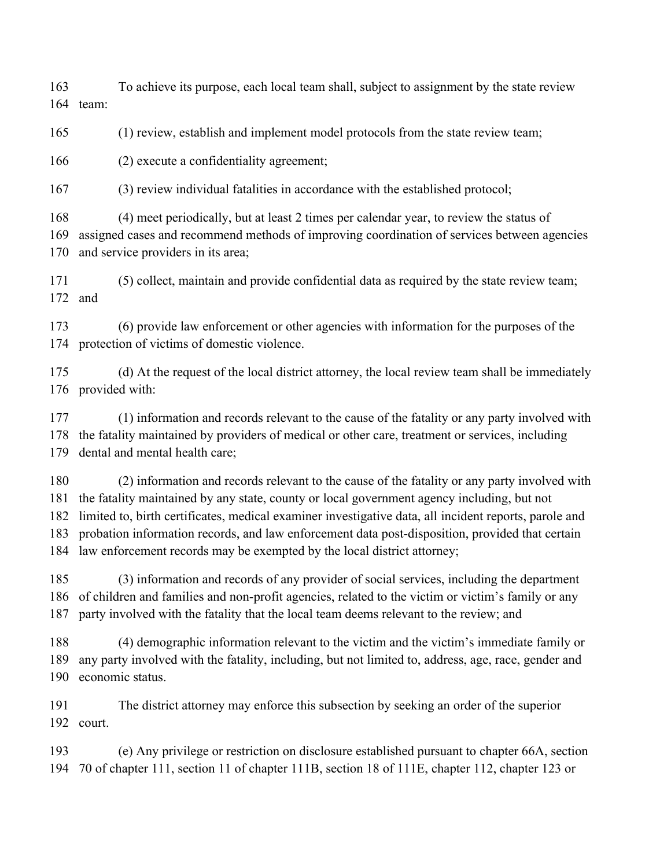To achieve its purpose, each local team shall, subject to assignment by the state review team:

(1) review, establish and implement model protocols from the state review team;

(2) execute a confidentiality agreement;

(3) review individual fatalities in accordance with the established protocol;

 (4) meet periodically, but at least 2 times per calendar year, to review the status of assigned cases and recommend methods of improving coordination of services between agencies and service providers in its area;

 (5) collect, maintain and provide confidential data as required by the state review team; and

 (6) provide law enforcement or other agencies with information for the purposes of the protection of victims of domestic violence.

 (d) At the request of the local district attorney, the local review team shall be immediately provided with:

 (1) information and records relevant to the cause of the fatality or any party involved with the fatality maintained by providers of medical or other care, treatment or services, including dental and mental health care;

 (2) information and records relevant to the cause of the fatality or any party involved with the fatality maintained by any state, county or local government agency including, but not limited to, birth certificates, medical examiner investigative data, all incident reports, parole and probation information records, and law enforcement data post-disposition, provided that certain law enforcement records may be exempted by the local district attorney;

 (3) information and records of any provider of social services, including the department of children and families and non-profit agencies, related to the victim or victim's family or any party involved with the fatality that the local team deems relevant to the review; and

 (4) demographic information relevant to the victim and the victim's immediate family or any party involved with the fatality, including, but not limited to, address, age, race, gender and economic status.

 The district attorney may enforce this subsection by seeking an order of the superior court.

 (e) Any privilege or restriction on disclosure established pursuant to chapter 66A, section 70 of chapter 111, section 11 of chapter 111B, section 18 of 111E, chapter 112, chapter 123 or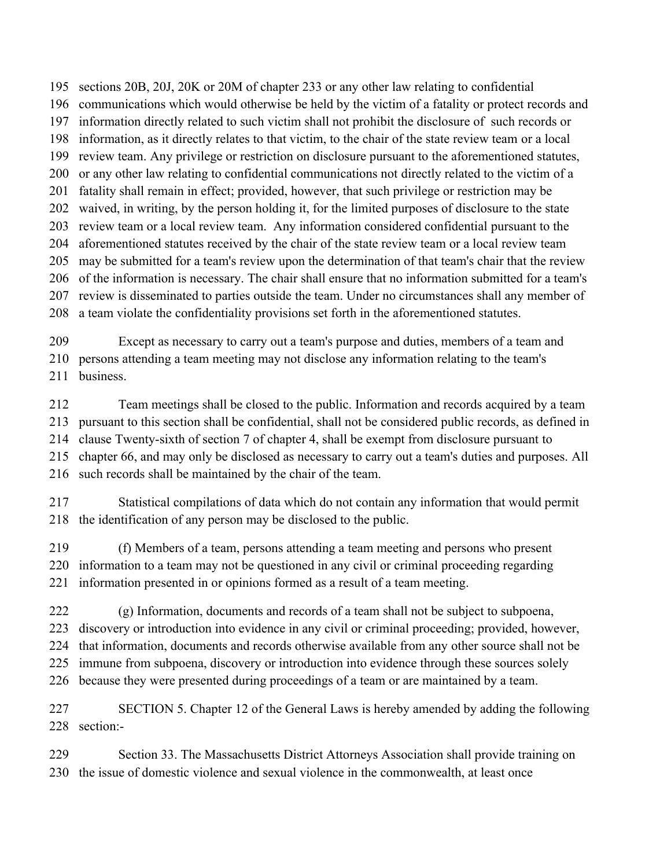sections 20B, 20J, 20K or 20M of chapter 233 or any other law relating to confidential communications which would otherwise be held by the victim of a fatality or protect records and information directly related to such victim shall not prohibit the disclosure of such records or information, as it directly relates to that victim, to the chair of the state review team or a local review team. Any privilege or restriction on disclosure pursuant to the aforementioned statutes, or any other law relating to confidential communications not directly related to the victim of a fatality shall remain in effect; provided, however, that such privilege or restriction may be waived, in writing, by the person holding it, for the limited purposes of disclosure to the state review team or a local review team. Any information considered confidential pursuant to the aforementioned statutes received by the chair of the state review team or a local review team may be submitted for a team's review upon the determination of that team's chair that the review of the information is necessary. The chair shall ensure that no information submitted for a team's review is disseminated to parties outside the team. Under no circumstances shall any member of a team violate the confidentiality provisions set forth in the aforementioned statutes.

 Except as necessary to carry out a team's purpose and duties, members of a team and persons attending a team meeting may not disclose any information relating to the team's 211 business

 Team meetings shall be closed to the public. Information and records acquired by a team pursuant to this section shall be confidential, shall not be considered public records, as defined in clause Twenty-sixth of section 7 of chapter 4, shall be exempt from disclosure pursuant to chapter 66, and may only be disclosed as necessary to carry out a team's duties and purposes. All such records shall be maintained by the chair of the team.

 Statistical compilations of data which do not contain any information that would permit the identification of any person may be disclosed to the public.

 (f) Members of a team, persons attending a team meeting and persons who present information to a team may not be questioned in any civil or criminal proceeding regarding information presented in or opinions formed as a result of a team meeting.

 (g) Information, documents and records of a team shall not be subject to subpoena, discovery or introduction into evidence in any civil or criminal proceeding; provided, however, that information, documents and records otherwise available from any other source shall not be immune from subpoena, discovery or introduction into evidence through these sources solely because they were presented during proceedings of a team or are maintained by a team.

 SECTION 5. Chapter 12 of the General Laws is hereby amended by adding the following section:-

 Section 33. The Massachusetts District Attorneys Association shall provide training on the issue of domestic violence and sexual violence in the commonwealth, at least once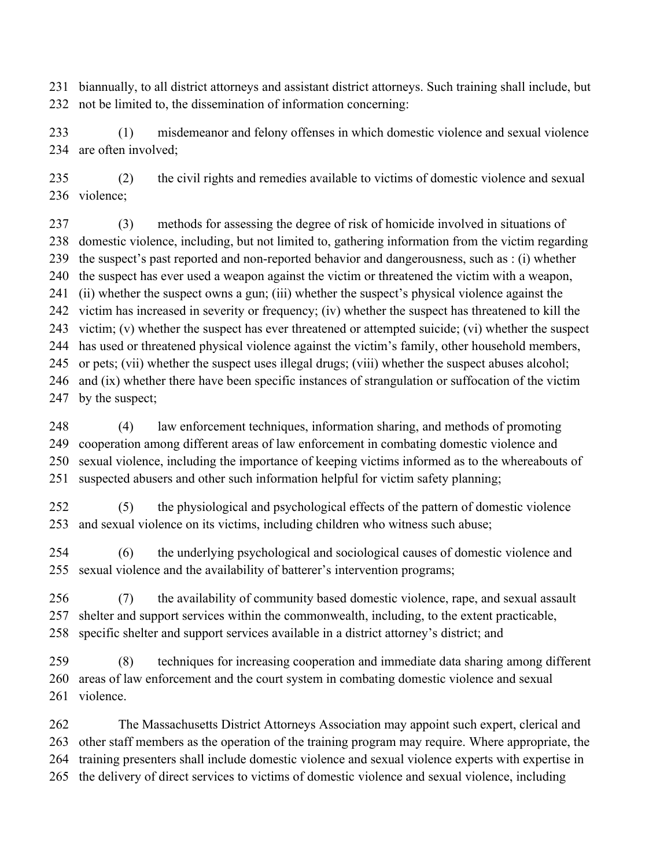biannually, to all district attorneys and assistant district attorneys. Such training shall include, but not be limited to, the dissemination of information concerning:

 (1) misdemeanor and felony offenses in which domestic violence and sexual violence are often involved;

 (2) the civil rights and remedies available to victims of domestic violence and sexual violence;

 (3) methods for assessing the degree of risk of homicide involved in situations of domestic violence, including, but not limited to, gathering information from the victim regarding the suspect's past reported and non-reported behavior and dangerousness, such as : (i) whether the suspect has ever used a weapon against the victim or threatened the victim with a weapon, (ii) whether the suspect owns a gun; (iii) whether the suspect's physical violence against the victim has increased in severity or frequency; (iv) whether the suspect has threatened to kill the victim; (v) whether the suspect has ever threatened or attempted suicide; (vi) whether the suspect has used or threatened physical violence against the victim's family, other household members, or pets; (vii) whether the suspect uses illegal drugs; (viii) whether the suspect abuses alcohol; and (ix) whether there have been specific instances of strangulation or suffocation of the victim 247 by the suspect;

 (4) law enforcement techniques, information sharing, and methods of promoting cooperation among different areas of law enforcement in combating domestic violence and sexual violence, including the importance of keeping victims informed as to the whereabouts of suspected abusers and other such information helpful for victim safety planning;

 (5) the physiological and psychological effects of the pattern of domestic violence and sexual violence on its victims, including children who witness such abuse;

 (6) the underlying psychological and sociological causes of domestic violence and sexual violence and the availability of batterer's intervention programs;

 (7) the availability of community based domestic violence, rape, and sexual assault shelter and support services within the commonwealth, including, to the extent practicable, specific shelter and support services available in a district attorney's district; and

 (8) techniques for increasing cooperation and immediate data sharing among different areas of law enforcement and the court system in combating domestic violence and sexual violence.

 The Massachusetts District Attorneys Association may appoint such expert, clerical and other staff members as the operation of the training program may require. Where appropriate, the training presenters shall include domestic violence and sexual violence experts with expertise in the delivery of direct services to victims of domestic violence and sexual violence, including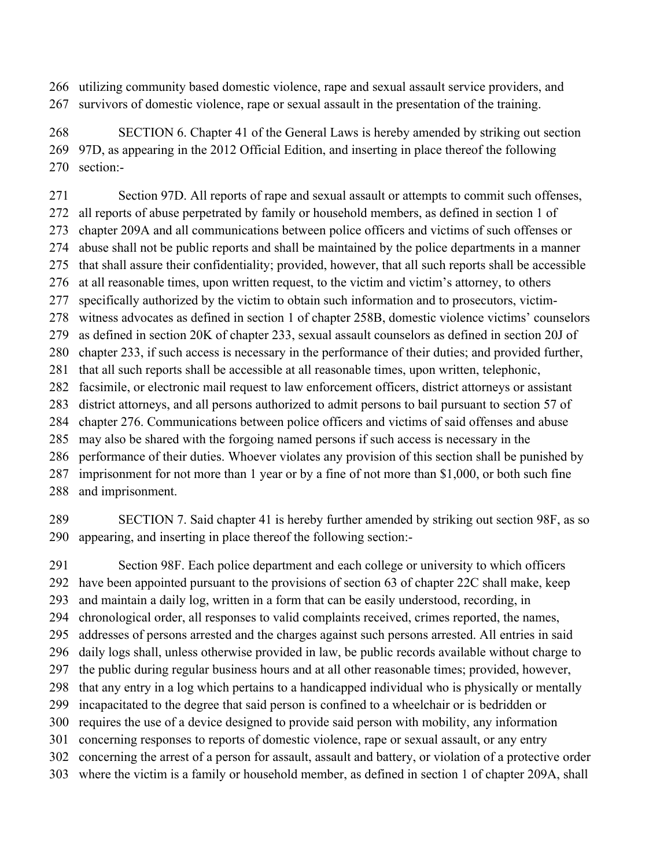utilizing community based domestic violence, rape and sexual assault service providers, and survivors of domestic violence, rape or sexual assault in the presentation of the training.

 SECTION 6. Chapter 41 of the General Laws is hereby amended by striking out section 97D, as appearing in the 2012 Official Edition, and inserting in place thereof the following section:-

 Section 97D. All reports of rape and sexual assault or attempts to commit such offenses, all reports of abuse perpetrated by family or household members, as defined in section 1 of chapter 209A and all communications between police officers and victims of such offenses or abuse shall not be public reports and shall be maintained by the police departments in a manner that shall assure their confidentiality; provided, however, that all such reports shall be accessible at all reasonable times, upon written request, to the victim and victim's attorney, to others specifically authorized by the victim to obtain such information and to prosecutors, victim- witness advocates as defined in section 1 of chapter 258B, domestic violence victims' counselors as defined in section 20K of chapter 233, sexual assault counselors as defined in section 20J of chapter 233, if such access is necessary in the performance of their duties; and provided further, that all such reports shall be accessible at all reasonable times, upon written, telephonic, facsimile, or electronic mail request to law enforcement officers, district attorneys or assistant district attorneys, and all persons authorized to admit persons to bail pursuant to section 57 of chapter 276. Communications between police officers and victims of said offenses and abuse may also be shared with the forgoing named persons if such access is necessary in the performance of their duties. Whoever violates any provision of this section shall be punished by imprisonment for not more than 1 year or by a fine of not more than \$1,000, or both such fine and imprisonment.

 SECTION 7. Said chapter 41 is hereby further amended by striking out section 98F, as so appearing, and inserting in place thereof the following section:-

 Section 98F. Each police department and each college or university to which officers have been appointed pursuant to the provisions of section 63 of chapter 22C shall make, keep and maintain a daily log, written in a form that can be easily understood, recording, in chronological order, all responses to valid complaints received, crimes reported, the names, addresses of persons arrested and the charges against such persons arrested. All entries in said daily logs shall, unless otherwise provided in law, be public records available without charge to the public during regular business hours and at all other reasonable times; provided, however, that any entry in a log which pertains to a handicapped individual who is physically or mentally incapacitated to the degree that said person is confined to a wheelchair or is bedridden or requires the use of a device designed to provide said person with mobility, any information concerning responses to reports of domestic violence, rape or sexual assault, or any entry concerning the arrest of a person for assault, assault and battery, or violation of a protective order where the victim is a family or household member, as defined in section 1 of chapter 209A, shall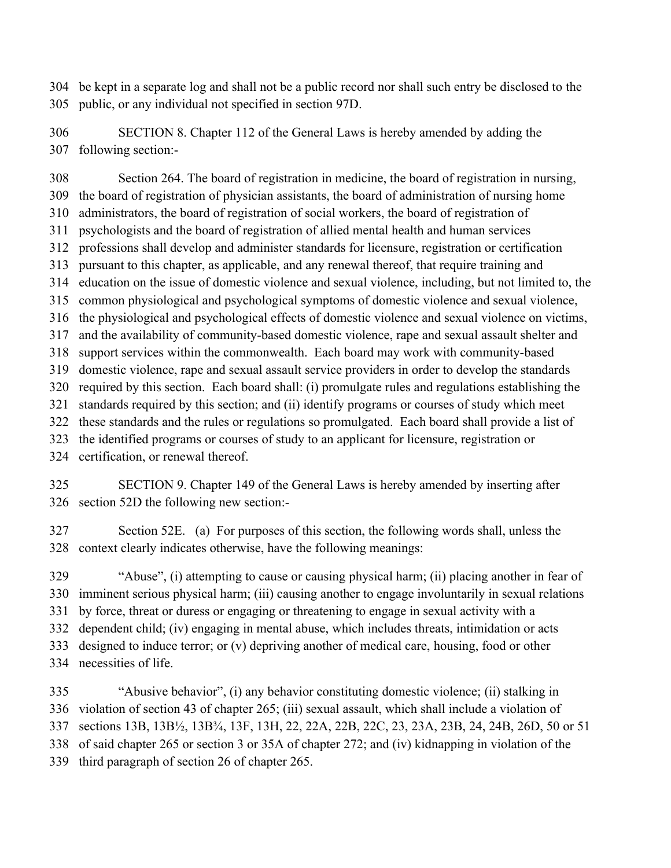be kept in a separate log and shall not be a public record nor shall such entry be disclosed to the public, or any individual not specified in section 97D.

 SECTION 8. Chapter 112 of the General Laws is hereby amended by adding the following section:-

 Section 264. The board of registration in medicine, the board of registration in nursing, the board of registration of physician assistants, the board of administration of nursing home administrators, the board of registration of social workers, the board of registration of psychologists and the board of registration of allied mental health and human services professions shall develop and administer standards for licensure, registration or certification pursuant to this chapter, as applicable, and any renewal thereof, that require training and education on the issue of domestic violence and sexual violence, including, but not limited to, the common physiological and psychological symptoms of domestic violence and sexual violence, the physiological and psychological effects of domestic violence and sexual violence on victims, and the availability of community-based domestic violence, rape and sexual assault shelter and support services within the commonwealth. Each board may work with community-based domestic violence, rape and sexual assault service providers in order to develop the standards required by this section. Each board shall: (i) promulgate rules and regulations establishing the standards required by this section; and (ii) identify programs or courses of study which meet these standards and the rules or regulations so promulgated. Each board shall provide a list of the identified programs or courses of study to an applicant for licensure, registration or

certification, or renewal thereof.

 SECTION 9. Chapter 149 of the General Laws is hereby amended by inserting after section 52D the following new section:-

 Section 52E. (a) For purposes of this section, the following words shall, unless the context clearly indicates otherwise, have the following meanings:

 "Abuse", (i) attempting to cause or causing physical harm; (ii) placing another in fear of imminent serious physical harm; (iii) causing another to engage involuntarily in sexual relations by force, threat or duress or engaging or threatening to engage in sexual activity with a dependent child; (iv) engaging in mental abuse, which includes threats, intimidation or acts designed to induce terror; or (v) depriving another of medical care, housing, food or other necessities of life.

 "Abusive behavior", (i) any behavior constituting domestic violence; (ii) stalking in violation of section 43 of chapter 265; (iii) sexual assault, which shall include a violation of sections 13B, 13B½, 13B¾, 13F, 13H, 22, 22A, 22B, 22C, 23, 23A, 23B, 24, 24B, 26D, 50 or 51 of said chapter 265 or section 3 or 35A of chapter 272; and (iv) kidnapping in violation of the third paragraph of section 26 of chapter 265.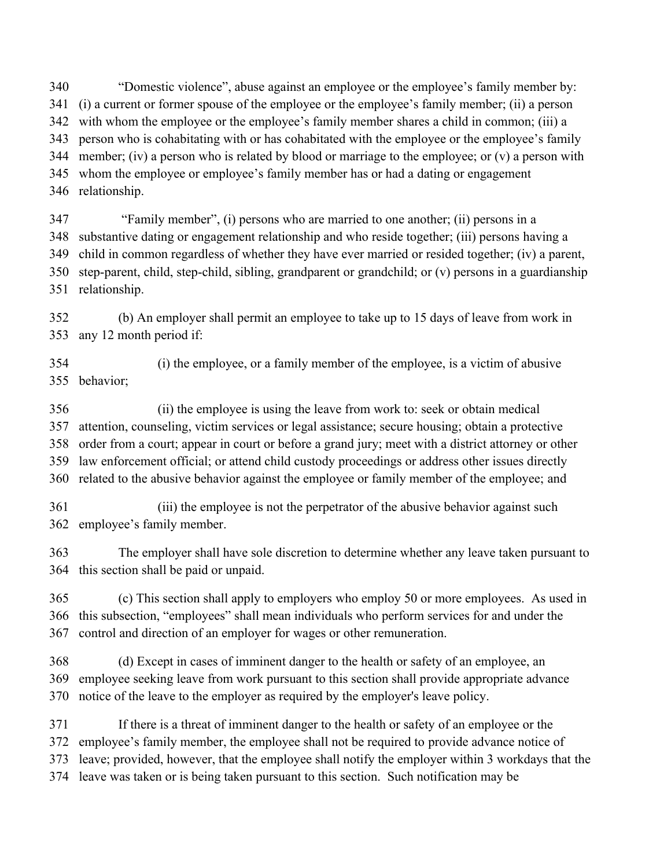"Domestic violence", abuse against an employee or the employee's family member by: (i) a current or former spouse of the employee or the employee's family member; (ii) a person with whom the employee or the employee's family member shares a child in common; (iii) a person who is cohabitating with or has cohabitated with the employee or the employee's family member; (iv) a person who is related by blood or marriage to the employee; or (v) a person with whom the employee or employee's family member has or had a dating or engagement relationship.

 "Family member", (i) persons who are married to one another; (ii) persons in a substantive dating or engagement relationship and who reside together; (iii) persons having a child in common regardless of whether they have ever married or resided together; (iv) a parent, step-parent, child, step-child, sibling, grandparent or grandchild; or (v) persons in a guardianship relationship.

 (b) An employer shall permit an employee to take up to 15 days of leave from work in any 12 month period if:

 (i) the employee, or a family member of the employee, is a victim of abusive behavior;

 (ii) the employee is using the leave from work to: seek or obtain medical attention, counseling, victim services or legal assistance; secure housing; obtain a protective order from a court; appear in court or before a grand jury; meet with a district attorney or other law enforcement official; or attend child custody proceedings or address other issues directly related to the abusive behavior against the employee or family member of the employee; and

 (iii) the employee is not the perpetrator of the abusive behavior against such employee's family member.

 The employer shall have sole discretion to determine whether any leave taken pursuant to this section shall be paid or unpaid.

 (c) This section shall apply to employers who employ 50 or more employees. As used in this subsection, "employees" shall mean individuals who perform services for and under the control and direction of an employer for wages or other remuneration.

 (d) Except in cases of imminent danger to the health or safety of an employee, an employee seeking leave from work pursuant to this section shall provide appropriate advance notice of the leave to the employer as required by the employer's leave policy.

 If there is a threat of imminent danger to the health or safety of an employee or the employee's family member, the employee shall not be required to provide advance notice of leave; provided, however, that the employee shall notify the employer within 3 workdays that the leave was taken or is being taken pursuant to this section. Such notification may be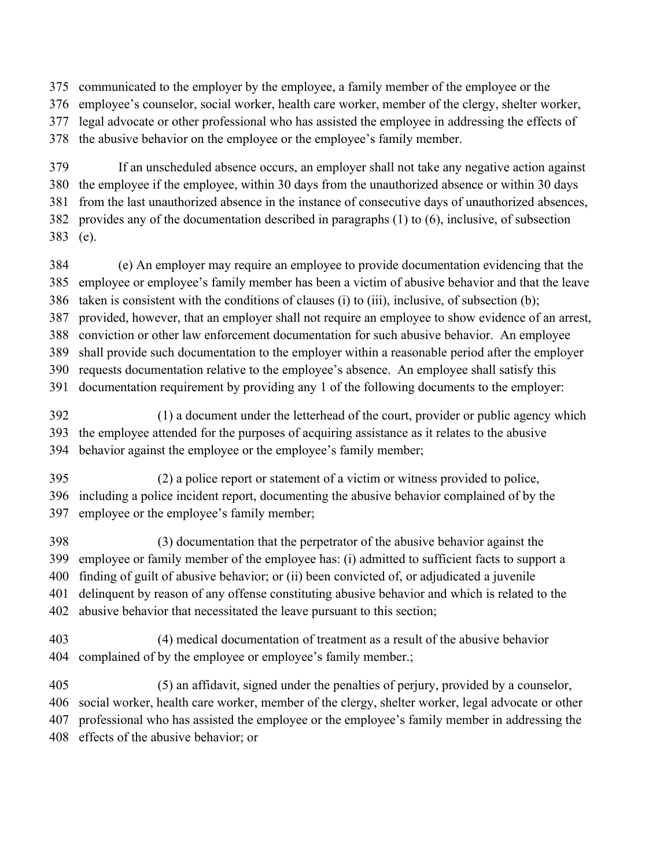communicated to the employer by the employee, a family member of the employee or the

employee's counselor, social worker, health care worker, member of the clergy, shelter worker,

legal advocate or other professional who has assisted the employee in addressing the effects of

the abusive behavior on the employee or the employee's family member.

 If an unscheduled absence occurs, an employer shall not take any negative action against the employee if the employee, within 30 days from the unauthorized absence or within 30 days from the last unauthorized absence in the instance of consecutive days of unauthorized absences, provides any of the documentation described in paragraphs (1) to (6), inclusive, of subsection (e).

 (e) An employer may require an employee to provide documentation evidencing that the employee or employee's family member has been a victim of abusive behavior and that the leave taken is consistent with the conditions of clauses (i) to (iii), inclusive, of subsection (b); provided, however, that an employer shall not require an employee to show evidence of an arrest, conviction or other law enforcement documentation for such abusive behavior. An employee shall provide such documentation to the employer within a reasonable period after the employer requests documentation relative to the employee's absence. An employee shall satisfy this documentation requirement by providing any 1 of the following documents to the employer:

 (1) a document under the letterhead of the court, provider or public agency which the employee attended for the purposes of acquiring assistance as it relates to the abusive behavior against the employee or the employee's family member;

- (2) a police report or statement of a victim or witness provided to police, including a police incident report, documenting the abusive behavior complained of by the employee or the employee's family member;
- (3) documentation that the perpetrator of the abusive behavior against the employee or family member of the employee has: (i) admitted to sufficient facts to support a finding of guilt of abusive behavior; or (ii) been convicted of, or adjudicated a juvenile delinquent by reason of any offense constituting abusive behavior and which is related to the abusive behavior that necessitated the leave pursuant to this section;
- (4) medical documentation of treatment as a result of the abusive behavior complained of by the employee or employee's family member.;

 (5) an affidavit, signed under the penalties of perjury, provided by a counselor, social worker, health care worker, member of the clergy, shelter worker, legal advocate or other professional who has assisted the employee or the employee's family member in addressing the effects of the abusive behavior; or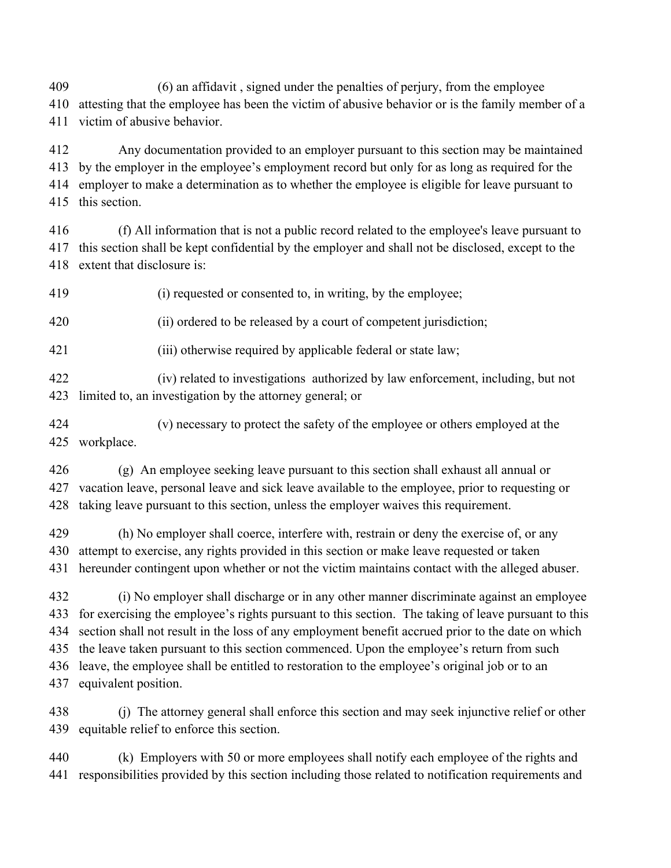(6) an affidavit , signed under the penalties of perjury, from the employee

 attesting that the employee has been the victim of abusive behavior or is the family member of a victim of abusive behavior.

 Any documentation provided to an employer pursuant to this section may be maintained by the employer in the employee's employment record but only for as long as required for the employer to make a determination as to whether the employee is eligible for leave pursuant to this section.

 (f) All information that is not a public record related to the employee's leave pursuant to this section shall be kept confidential by the employer and shall not be disclosed, except to the extent that disclosure is:

(i) requested or consented to, in writing, by the employee;

(ii) ordered to be released by a court of competent jurisdiction;

(iii) otherwise required by applicable federal or state law;

 (iv) related to investigations authorized by law enforcement, including, but not limited to, an investigation by the attorney general; or

 (v) necessary to protect the safety of the employee or others employed at the workplace.

 (g) An employee seeking leave pursuant to this section shall exhaust all annual or vacation leave, personal leave and sick leave available to the employee, prior to requesting or taking leave pursuant to this section, unless the employer waives this requirement.

 (h) No employer shall coerce, interfere with, restrain or deny the exercise of, or any attempt to exercise, any rights provided in this section or make leave requested or taken hereunder contingent upon whether or not the victim maintains contact with the alleged abuser.

 (i) No employer shall discharge or in any other manner discriminate against an employee for exercising the employee's rights pursuant to this section. The taking of leave pursuant to this section shall not result in the loss of any employment benefit accrued prior to the date on which the leave taken pursuant to this section commenced. Upon the employee's return from such leave, the employee shall be entitled to restoration to the employee's original job or to an equivalent position.

 (j) The attorney general shall enforce this section and may seek injunctive relief or other equitable relief to enforce this section.

 (k) Employers with 50 or more employees shall notify each employee of the rights and responsibilities provided by this section including those related to notification requirements and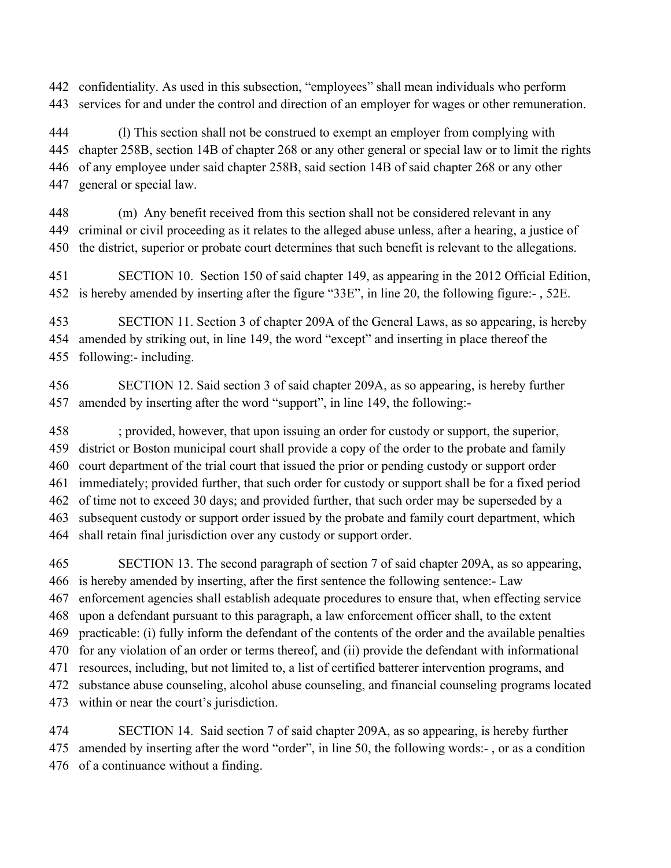confidentiality. As used in this subsection, "employees" shall mean individuals who perform services for and under the control and direction of an employer for wages or other remuneration.

 (l) This section shall not be construed to exempt an employer from complying with chapter 258B, section 14B of chapter 268 or any other general or special law or to limit the rights of any employee under said chapter 258B, said section 14B of said chapter 268 or any other general or special law.

 (m) Any benefit received from this section shall not be considered relevant in any criminal or civil proceeding as it relates to the alleged abuse unless, after a hearing, a justice of the district, superior or probate court determines that such benefit is relevant to the allegations.

 SECTION 10. Section 150 of said chapter 149, as appearing in the 2012 Official Edition, is hereby amended by inserting after the figure "33E", in line 20, the following figure:- , 52E.

 SECTION 11. Section 3 of chapter 209A of the General Laws, as so appearing, is hereby amended by striking out, in line 149, the word "except" and inserting in place thereof the following:- including.

 SECTION 12. Said section 3 of said chapter 209A, as so appearing, is hereby further amended by inserting after the word "support", in line 149, the following:-

 ; provided, however, that upon issuing an order for custody or support, the superior, district or Boston municipal court shall provide a copy of the order to the probate and family court department of the trial court that issued the prior or pending custody or support order immediately; provided further, that such order for custody or support shall be for a fixed period of time not to exceed 30 days; and provided further, that such order may be superseded by a subsequent custody or support order issued by the probate and family court department, which shall retain final jurisdiction over any custody or support order.

 SECTION 13. The second paragraph of section 7 of said chapter 209A, as so appearing, is hereby amended by inserting, after the first sentence the following sentence:- Law enforcement agencies shall establish adequate procedures to ensure that, when effecting service upon a defendant pursuant to this paragraph, a law enforcement officer shall, to the extent practicable: (i) fully inform the defendant of the contents of the order and the available penalties for any violation of an order or terms thereof, and (ii) provide the defendant with informational resources, including, but not limited to, a list of certified batterer intervention programs, and substance abuse counseling, alcohol abuse counseling, and financial counseling programs located within or near the court's jurisdiction.

 SECTION 14. Said section 7 of said chapter 209A, as so appearing, is hereby further amended by inserting after the word "order", in line 50, the following words:- , or as a condition of a continuance without a finding.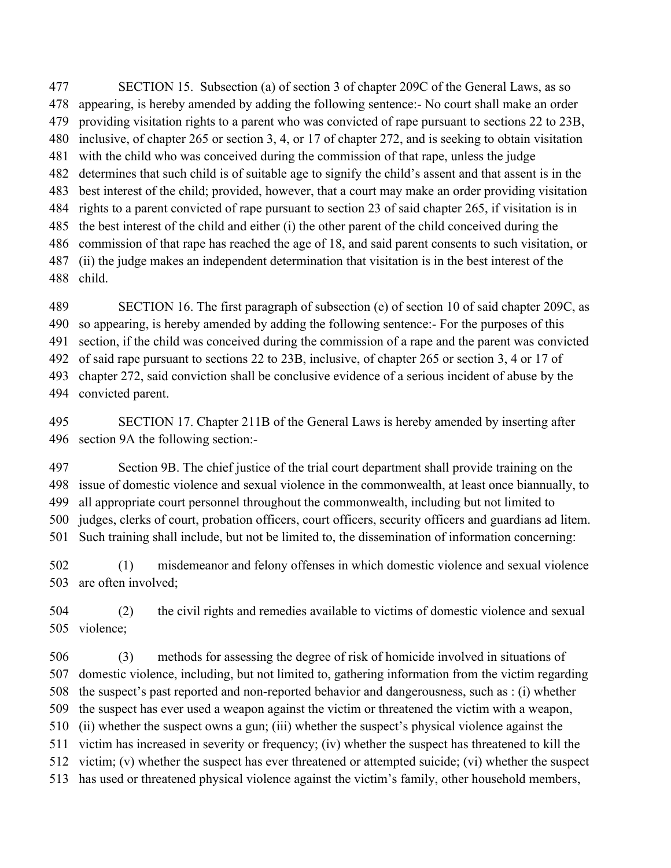SECTION 15. Subsection (a) of section 3 of chapter 209C of the General Laws, as so appearing, is hereby amended by adding the following sentence:- No court shall make an order providing visitation rights to a parent who was convicted of rape pursuant to sections 22 to 23B, inclusive, of chapter 265 or section 3, 4, or 17 of chapter 272, and is seeking to obtain visitation with the child who was conceived during the commission of that rape, unless the judge determines that such child is of suitable age to signify the child's assent and that assent is in the best interest of the child; provided, however, that a court may make an order providing visitation rights to a parent convicted of rape pursuant to section 23 of said chapter 265, if visitation is in the best interest of the child and either (i) the other parent of the child conceived during the commission of that rape has reached the age of 18, and said parent consents to such visitation, or (ii) the judge makes an independent determination that visitation is in the best interest of the child.

SECTION 16. The first paragraph of subsection (e) of section 10 of said chapter 209C, as

so appearing, is hereby amended by adding the following sentence:- For the purposes of this

section, if the child was conceived during the commission of a rape and the parent was convicted

 of said rape pursuant to sections 22 to 23B, inclusive, of chapter 265 or section 3, 4 or 17 of chapter 272, said conviction shall be conclusive evidence of a serious incident of abuse by the

convicted parent.

 SECTION 17. Chapter 211B of the General Laws is hereby amended by inserting after section 9A the following section:-

 Section 9B. The chief justice of the trial court department shall provide training on the issue of domestic violence and sexual violence in the commonwealth, at least once biannually, to all appropriate court personnel throughout the commonwealth, including but not limited to judges, clerks of court, probation officers, court officers, security officers and guardians ad litem.

Such training shall include, but not be limited to, the dissemination of information concerning:

 (1) misdemeanor and felony offenses in which domestic violence and sexual violence are often involved;

 (2) the civil rights and remedies available to victims of domestic violence and sexual violence;

 (3) methods for assessing the degree of risk of homicide involved in situations of domestic violence, including, but not limited to, gathering information from the victim regarding the suspect's past reported and non-reported behavior and dangerousness, such as : (i) whether the suspect has ever used a weapon against the victim or threatened the victim with a weapon, (ii) whether the suspect owns a gun; (iii) whether the suspect's physical violence against the victim has increased in severity or frequency; (iv) whether the suspect has threatened to kill the victim; (v) whether the suspect has ever threatened or attempted suicide; (vi) whether the suspect has used or threatened physical violence against the victim's family, other household members,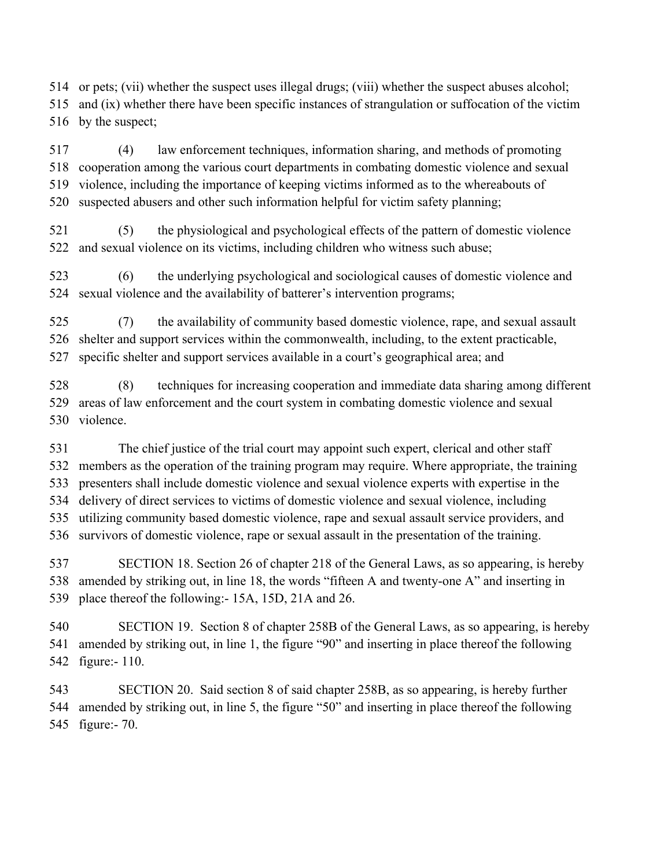or pets; (vii) whether the suspect uses illegal drugs; (viii) whether the suspect abuses alcohol; and (ix) whether there have been specific instances of strangulation or suffocation of the victim by the suspect;

 (4) law enforcement techniques, information sharing, and methods of promoting cooperation among the various court departments in combating domestic violence and sexual violence, including the importance of keeping victims informed as to the whereabouts of suspected abusers and other such information helpful for victim safety planning;

 (5) the physiological and psychological effects of the pattern of domestic violence and sexual violence on its victims, including children who witness such abuse;

 (6) the underlying psychological and sociological causes of domestic violence and sexual violence and the availability of batterer's intervention programs;

 (7) the availability of community based domestic violence, rape, and sexual assault shelter and support services within the commonwealth, including, to the extent practicable, specific shelter and support services available in a court's geographical area; and

 (8) techniques for increasing cooperation and immediate data sharing among different areas of law enforcement and the court system in combating domestic violence and sexual violence.

 The chief justice of the trial court may appoint such expert, clerical and other staff members as the operation of the training program may require. Where appropriate, the training presenters shall include domestic violence and sexual violence experts with expertise in the delivery of direct services to victims of domestic violence and sexual violence, including utilizing community based domestic violence, rape and sexual assault service providers, and survivors of domestic violence, rape or sexual assault in the presentation of the training.

 SECTION 18. Section 26 of chapter 218 of the General Laws, as so appearing, is hereby amended by striking out, in line 18, the words "fifteen A and twenty-one A" and inserting in place thereof the following:- 15A, 15D, 21A and 26.

 SECTION 19. Section 8 of chapter 258B of the General Laws, as so appearing, is hereby amended by striking out, in line 1, the figure "90" and inserting in place thereof the following figure:- 110.

 SECTION 20. Said section 8 of said chapter 258B, as so appearing, is hereby further amended by striking out, in line 5, the figure "50" and inserting in place thereof the following figure:- 70.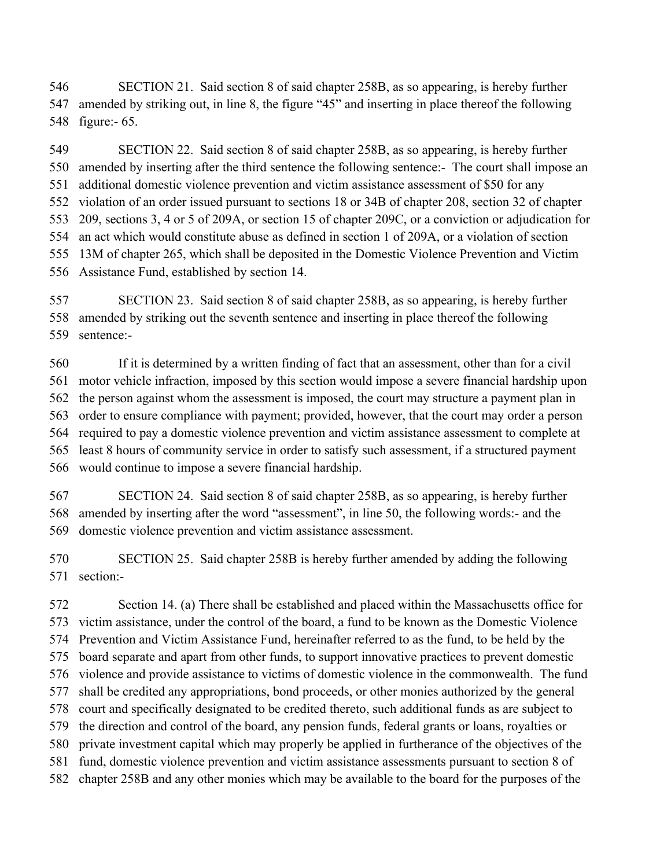SECTION 21. Said section 8 of said chapter 258B, as so appearing, is hereby further amended by striking out, in line 8, the figure "45" and inserting in place thereof the following figure:- 65.

 SECTION 22. Said section 8 of said chapter 258B, as so appearing, is hereby further amended by inserting after the third sentence the following sentence:- The court shall impose an additional domestic violence prevention and victim assistance assessment of \$50 for any violation of an order issued pursuant to sections 18 or 34B of chapter 208, section 32 of chapter 209, sections 3, 4 or 5 of 209A, or section 15 of chapter 209C, or a conviction or adjudication for an act which would constitute abuse as defined in section 1 of 209A, or a violation of section 13M of chapter 265, which shall be deposited in the Domestic Violence Prevention and Victim Assistance Fund, established by section 14.

 SECTION 23. Said section 8 of said chapter 258B, as so appearing, is hereby further amended by striking out the seventh sentence and inserting in place thereof the following sentence:-

 If it is determined by a written finding of fact that an assessment, other than for a civil motor vehicle infraction, imposed by this section would impose a severe financial hardship upon the person against whom the assessment is imposed, the court may structure a payment plan in order to ensure compliance with payment; provided, however, that the court may order a person required to pay a domestic violence prevention and victim assistance assessment to complete at least 8 hours of community service in order to satisfy such assessment, if a structured payment would continue to impose a severe financial hardship.

 SECTION 24. Said section 8 of said chapter 258B, as so appearing, is hereby further amended by inserting after the word "assessment", in line 50, the following words:- and the domestic violence prevention and victim assistance assessment.

 SECTION 25. Said chapter 258B is hereby further amended by adding the following section:-

 Section 14. (a) There shall be established and placed within the Massachusetts office for victim assistance, under the control of the board, a fund to be known as the Domestic Violence Prevention and Victim Assistance Fund, hereinafter referred to as the fund, to be held by the board separate and apart from other funds, to support innovative practices to prevent domestic violence and provide assistance to victims of domestic violence in the commonwealth. The fund shall be credited any appropriations, bond proceeds, or other monies authorized by the general court and specifically designated to be credited thereto, such additional funds as are subject to the direction and control of the board, any pension funds, federal grants or loans, royalties or private investment capital which may properly be applied in furtherance of the objectives of the fund, domestic violence prevention and victim assistance assessments pursuant to section 8 of chapter 258B and any other monies which may be available to the board for the purposes of the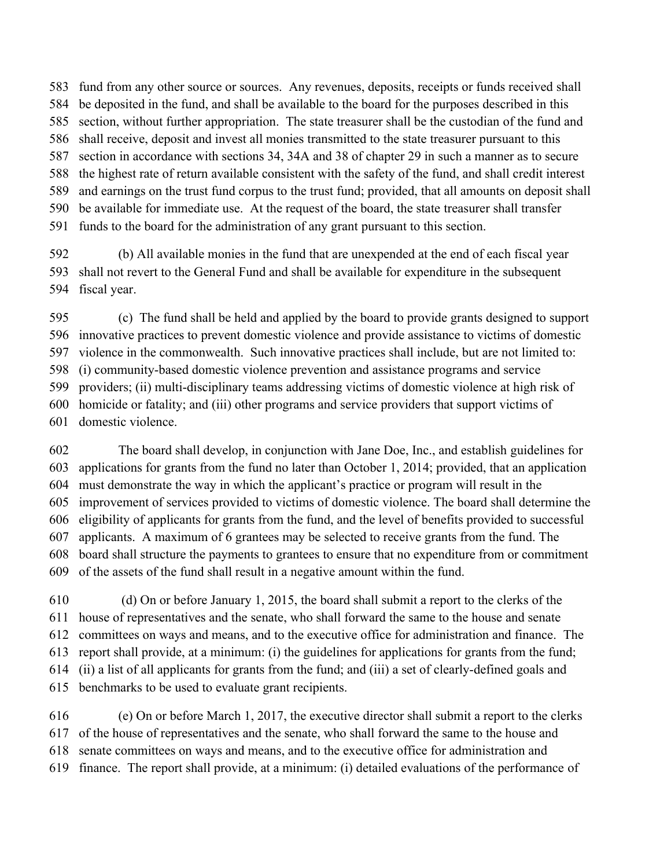fund from any other source or sources. Any revenues, deposits, receipts or funds received shall be deposited in the fund, and shall be available to the board for the purposes described in this section, without further appropriation. The state treasurer shall be the custodian of the fund and shall receive, deposit and invest all monies transmitted to the state treasurer pursuant to this section in accordance with sections 34, 34A and 38 of chapter 29 in such a manner as to secure the highest rate of return available consistent with the safety of the fund, and shall credit interest and earnings on the trust fund corpus to the trust fund; provided, that all amounts on deposit shall be available for immediate use. At the request of the board, the state treasurer shall transfer funds to the board for the administration of any grant pursuant to this section.

 (b) All available monies in the fund that are unexpended at the end of each fiscal year shall not revert to the General Fund and shall be available for expenditure in the subsequent fiscal year.

 (c) The fund shall be held and applied by the board to provide grants designed to support innovative practices to prevent domestic violence and provide assistance to victims of domestic violence in the commonwealth. Such innovative practices shall include, but are not limited to: (i) community-based domestic violence prevention and assistance programs and service providers; (ii) multi-disciplinary teams addressing victims of domestic violence at high risk of homicide or fatality; and (iii) other programs and service providers that support victims of domestic violence.

 The board shall develop, in conjunction with Jane Doe, Inc., and establish guidelines for applications for grants from the fund no later than October 1, 2014; provided, that an application must demonstrate the way in which the applicant's practice or program will result in the improvement of services provided to victims of domestic violence. The board shall determine the eligibility of applicants for grants from the fund, and the level of benefits provided to successful applicants. A maximum of 6 grantees may be selected to receive grants from the fund. The board shall structure the payments to grantees to ensure that no expenditure from or commitment of the assets of the fund shall result in a negative amount within the fund.

 (d) On or before January 1, 2015, the board shall submit a report to the clerks of the house of representatives and the senate, who shall forward the same to the house and senate committees on ways and means, and to the executive office for administration and finance. The report shall provide, at a minimum: (i) the guidelines for applications for grants from the fund; (ii) a list of all applicants for grants from the fund; and (iii) a set of clearly-defined goals and benchmarks to be used to evaluate grant recipients.

 (e) On or before March 1, 2017, the executive director shall submit a report to the clerks of the house of representatives and the senate, who shall forward the same to the house and senate committees on ways and means, and to the executive office for administration and finance. The report shall provide, at a minimum: (i) detailed evaluations of the performance of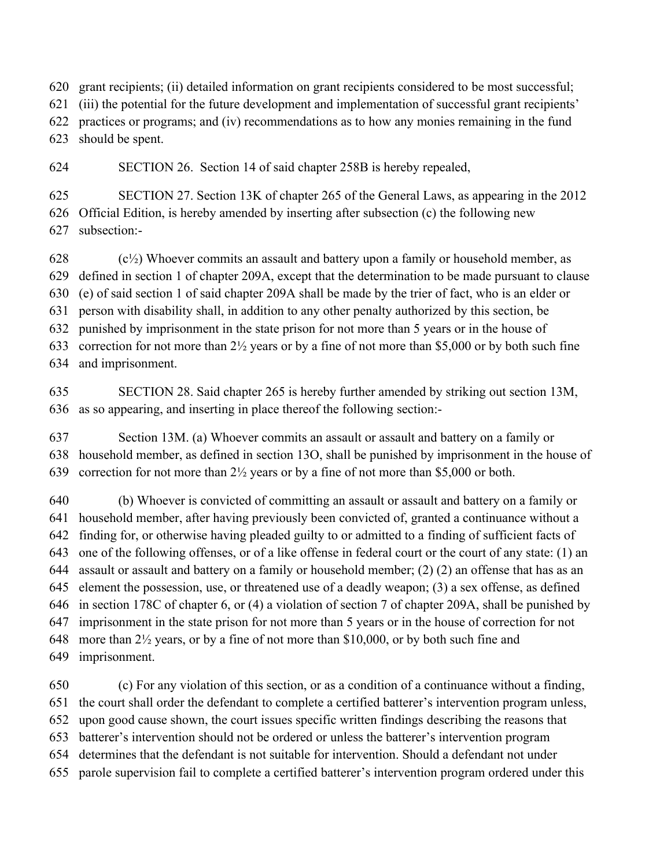grant recipients; (ii) detailed information on grant recipients considered to be most successful;

(iii) the potential for the future development and implementation of successful grant recipients'

practices or programs; and (iv) recommendations as to how any monies remaining in the fund

should be spent.

SECTION 26. Section 14 of said chapter 258B is hereby repealed,

 SECTION 27. Section 13K of chapter 265 of the General Laws, as appearing in the 2012 Official Edition, is hereby amended by inserting after subsection (c) the following new subsection:-

 (c<sup>1</sup>/<sub>2</sub>) Whoever commits an assault and battery upon a family or household member, as defined in section 1 of chapter 209A, except that the determination to be made pursuant to clause (e) of said section 1 of said chapter 209A shall be made by the trier of fact, who is an elder or person with disability shall, in addition to any other penalty authorized by this section, be punished by imprisonment in the state prison for not more than 5 years or in the house of correction for not more than 2½ years or by a fine of not more than \$5,000 or by both such fine and imprisonment.

 SECTION 28. Said chapter 265 is hereby further amended by striking out section 13M, as so appearing, and inserting in place thereof the following section:-

 Section 13M. (a) Whoever commits an assault or assault and battery on a family or household member, as defined in section 13O, shall be punished by imprisonment in the house of correction for not more than 2½ years or by a fine of not more than \$5,000 or both.

 (b) Whoever is convicted of committing an assault or assault and battery on a family or household member, after having previously been convicted of, granted a continuance without a finding for, or otherwise having pleaded guilty to or admitted to a finding of sufficient facts of one of the following offenses, or of a like offense in federal court or the court of any state: (1) an assault or assault and battery on a family or household member; (2) (2) an offense that has as an element the possession, use, or threatened use of a deadly weapon; (3) a sex offense, as defined in section 178C of chapter 6, or (4) a violation of section 7 of chapter 209A, shall be punished by imprisonment in the state prison for not more than 5 years or in the house of correction for not 648 more than  $2\frac{1}{2}$  years, or by a fine of not more than \$10,000, or by both such fine and imprisonment.

 (c) For any violation of this section, or as a condition of a continuance without a finding, the court shall order the defendant to complete a certified batterer's intervention program unless, upon good cause shown, the court issues specific written findings describing the reasons that batterer's intervention should not be ordered or unless the batterer's intervention program determines that the defendant is not suitable for intervention. Should a defendant not under parole supervision fail to complete a certified batterer's intervention program ordered under this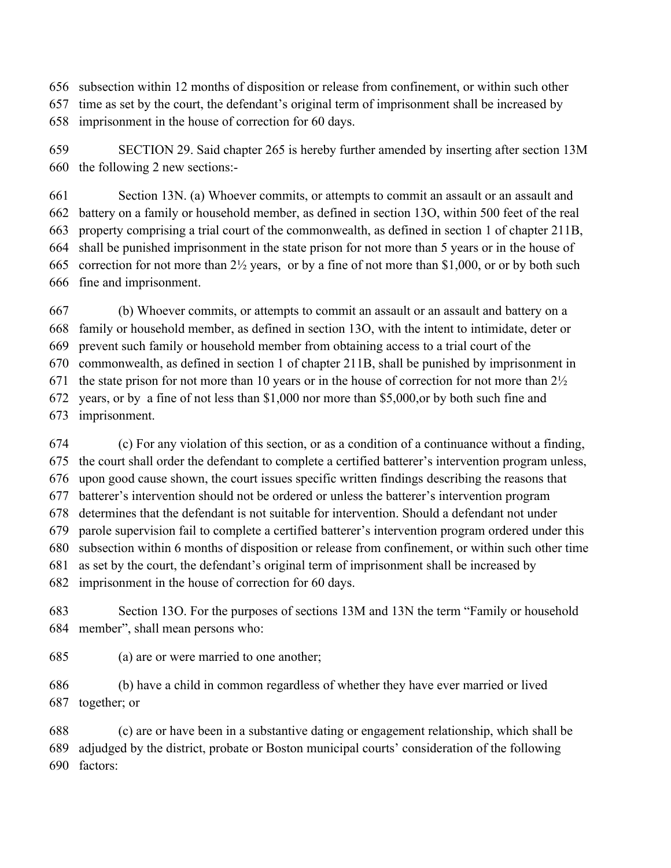subsection within 12 months of disposition or release from confinement, or within such other

 time as set by the court, the defendant's original term of imprisonment shall be increased by imprisonment in the house of correction for 60 days.

 SECTION 29. Said chapter 265 is hereby further amended by inserting after section 13M the following 2 new sections:-

 Section 13N. (a) Whoever commits, or attempts to commit an assault or an assault and battery on a family or household member, as defined in section 13O, within 500 feet of the real property comprising a trial court of the commonwealth, as defined in section 1 of chapter 211B, shall be punished imprisonment in the state prison for not more than 5 years or in the house of correction for not more than 2½ years, or by a fine of not more than \$1,000, or or by both such fine and imprisonment.

 (b) Whoever commits, or attempts to commit an assault or an assault and battery on a family or household member, as defined in section 13O, with the intent to intimidate, deter or prevent such family or household member from obtaining access to a trial court of the commonwealth, as defined in section 1 of chapter 211B, shall be punished by imprisonment in 671 the state prison for not more than 10 years or in the house of correction for not more than  $2\frac{1}{2}$  years, or by a fine of not less than \$1,000 nor more than \$5,000,or by both such fine and imprisonment.

 (c) For any violation of this section, or as a condition of a continuance without a finding, the court shall order the defendant to complete a certified batterer's intervention program unless, upon good cause shown, the court issues specific written findings describing the reasons that batterer's intervention should not be ordered or unless the batterer's intervention program determines that the defendant is not suitable for intervention. Should a defendant not under parole supervision fail to complete a certified batterer's intervention program ordered under this subsection within 6 months of disposition or release from confinement, or within such other time as set by the court, the defendant's original term of imprisonment shall be increased by imprisonment in the house of correction for 60 days.

 Section 13O. For the purposes of sections 13M and 13N the term "Family or household member", shall mean persons who:

(a) are or were married to one another;

 (b) have a child in common regardless of whether they have ever married or lived together; or

 (c) are or have been in a substantive dating or engagement relationship, which shall be adjudged by the district, probate or Boston municipal courts' consideration of the following factors: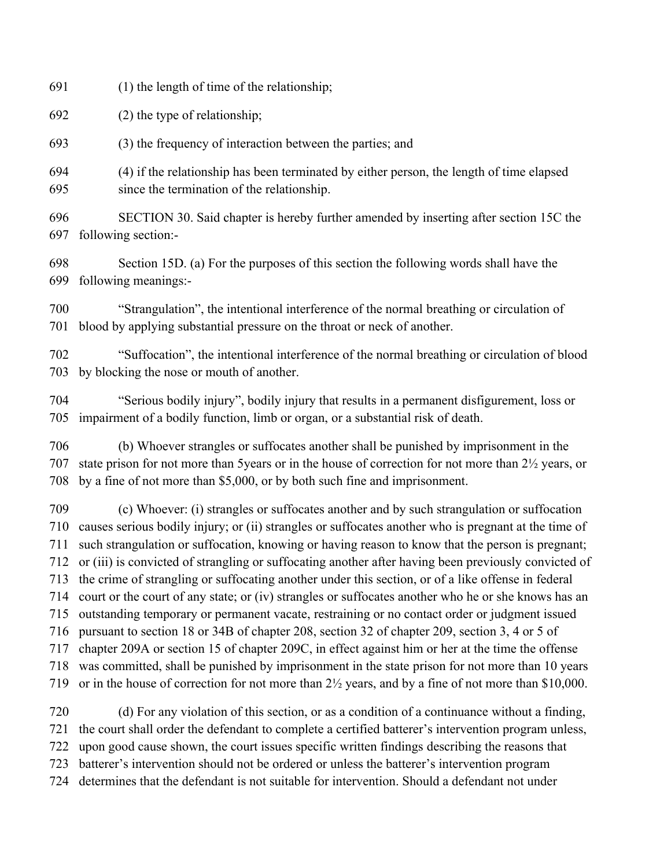(1) the length of time of the relationship;

(2) the type of relationship;

(3) the frequency of interaction between the parties; and

 (4) if the relationship has been terminated by either person, the length of time elapsed since the termination of the relationship.

 SECTION 30. Said chapter is hereby further amended by inserting after section 15C the following section:-

 Section 15D. (a) For the purposes of this section the following words shall have the following meanings:-

 "Strangulation", the intentional interference of the normal breathing or circulation of blood by applying substantial pressure on the throat or neck of another.

 "Suffocation", the intentional interference of the normal breathing or circulation of blood by blocking the nose or mouth of another.

 "Serious bodily injury", bodily injury that results in a permanent disfigurement, loss or impairment of a bodily function, limb or organ, or a substantial risk of death.

 (b) Whoever strangles or suffocates another shall be punished by imprisonment in the state prison for not more than 5years or in the house of correction for not more than 2½ years, or by a fine of not more than \$5,000, or by both such fine and imprisonment.

 (c) Whoever: (i) strangles or suffocates another and by such strangulation or suffocation causes serious bodily injury; or (ii) strangles or suffocates another who is pregnant at the time of such strangulation or suffocation, knowing or having reason to know that the person is pregnant; or (iii) is convicted of strangling or suffocating another after having been previously convicted of the crime of strangling or suffocating another under this section, or of a like offense in federal court or the court of any state; or (iv) strangles or suffocates another who he or she knows has an outstanding temporary or permanent vacate, restraining or no contact order or judgment issued pursuant to section 18 or 34B of chapter 208, section 32 of chapter 209, section 3, 4 or 5 of chapter 209A or section 15 of chapter 209C, in effect against him or her at the time the offense was committed, shall be punished by imprisonment in the state prison for not more than 10 years or in the house of correction for not more than 2½ years, and by a fine of not more than \$10,000. (d) For any violation of this section, or as a condition of a continuance without a finding,

 the court shall order the defendant to complete a certified batterer's intervention program unless, upon good cause shown, the court issues specific written findings describing the reasons that

batterer's intervention should not be ordered or unless the batterer's intervention program

determines that the defendant is not suitable for intervention. Should a defendant not under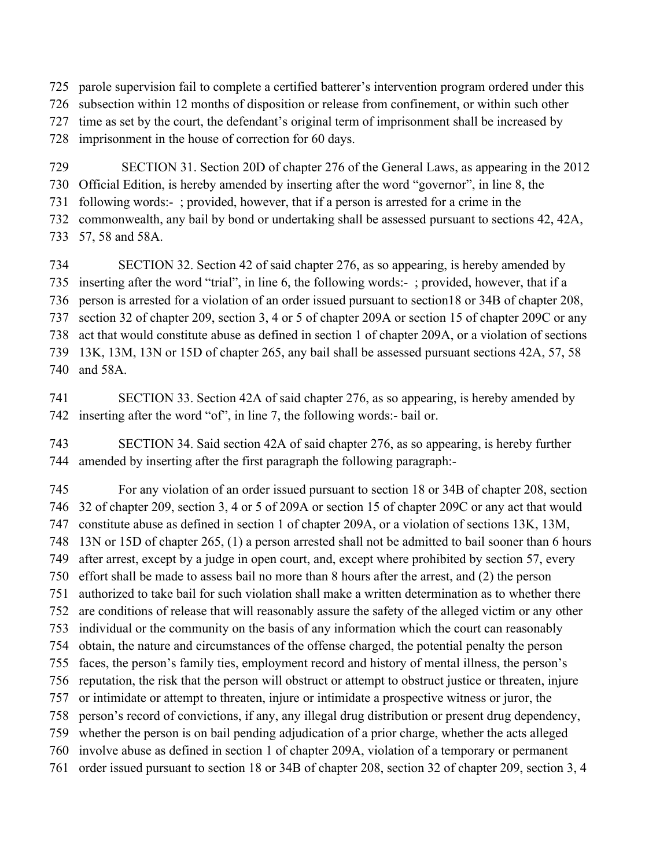parole supervision fail to complete a certified batterer's intervention program ordered under this

subsection within 12 months of disposition or release from confinement, or within such other

time as set by the court, the defendant's original term of imprisonment shall be increased by

imprisonment in the house of correction for 60 days.

SECTION 31. Section 20D of chapter 276 of the General Laws, as appearing in the 2012

Official Edition, is hereby amended by inserting after the word "governor", in line 8, the

following words:- ; provided, however, that if a person is arrested for a crime in the

commonwealth, any bail by bond or undertaking shall be assessed pursuant to sections 42, 42A,

57, 58 and 58A.

 SECTION 32. Section 42 of said chapter 276, as so appearing, is hereby amended by inserting after the word "trial", in line 6, the following words:- ; provided, however, that if a person is arrested for a violation of an order issued pursuant to section18 or 34B of chapter 208, section 32 of chapter 209, section 3, 4 or 5 of chapter 209A or section 15 of chapter 209C or any act that would constitute abuse as defined in section 1 of chapter 209A, or a violation of sections 13K, 13M, 13N or 15D of chapter 265, any bail shall be assessed pursuant sections 42A, 57, 58 and 58A.

 SECTION 33. Section 42A of said chapter 276, as so appearing, is hereby amended by inserting after the word "of", in line 7, the following words:- bail or.

 SECTION 34. Said section 42A of said chapter 276, as so appearing, is hereby further amended by inserting after the first paragraph the following paragraph:-

 For any violation of an order issued pursuant to section 18 or 34B of chapter 208, section 32 of chapter 209, section 3, 4 or 5 of 209A or section 15 of chapter 209C or any act that would constitute abuse as defined in section 1 of chapter 209A, or a violation of sections 13K, 13M, 13N or 15D of chapter 265, (1) a person arrested shall not be admitted to bail sooner than 6 hours after arrest, except by a judge in open court, and, except where prohibited by section 57, every effort shall be made to assess bail no more than 8 hours after the arrest, and (2) the person authorized to take bail for such violation shall make a written determination as to whether there are conditions of release that will reasonably assure the safety of the alleged victim or any other individual or the community on the basis of any information which the court can reasonably obtain, the nature and circumstances of the offense charged, the potential penalty the person faces, the person's family ties, employment record and history of mental illness, the person's reputation, the risk that the person will obstruct or attempt to obstruct justice or threaten, injure or intimidate or attempt to threaten, injure or intimidate a prospective witness or juror, the person's record of convictions, if any, any illegal drug distribution or present drug dependency, whether the person is on bail pending adjudication of a prior charge, whether the acts alleged involve abuse as defined in section 1 of chapter 209A, violation of a temporary or permanent order issued pursuant to section 18 or 34B of chapter 208, section 32 of chapter 209, section 3, 4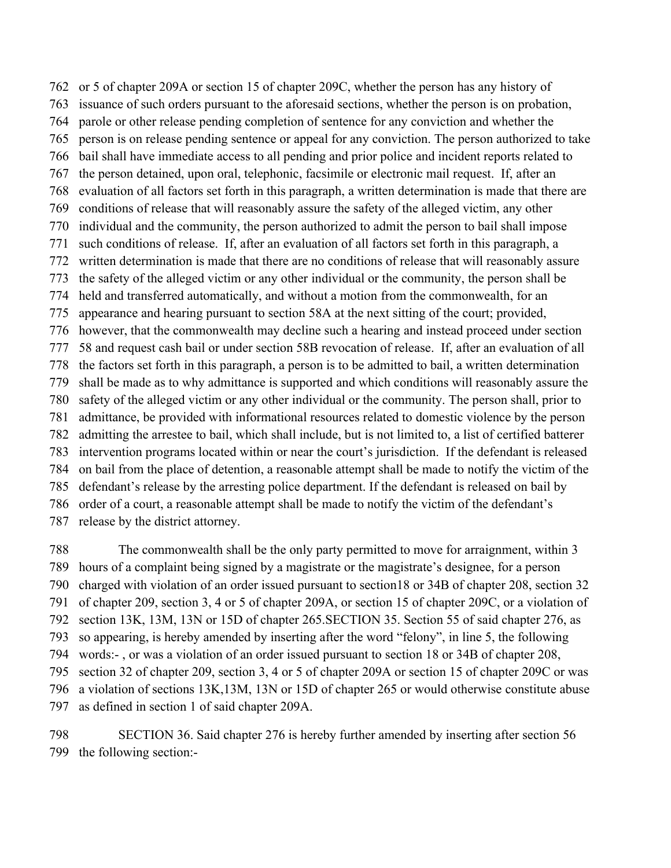or 5 of chapter 209A or section 15 of chapter 209C, whether the person has any history of issuance of such orders pursuant to the aforesaid sections, whether the person is on probation, parole or other release pending completion of sentence for any conviction and whether the person is on release pending sentence or appeal for any conviction. The person authorized to take bail shall have immediate access to all pending and prior police and incident reports related to the person detained, upon oral, telephonic, facsimile or electronic mail request. If, after an evaluation of all factors set forth in this paragraph, a written determination is made that there are conditions of release that will reasonably assure the safety of the alleged victim, any other individual and the community, the person authorized to admit the person to bail shall impose such conditions of release. If, after an evaluation of all factors set forth in this paragraph, a written determination is made that there are no conditions of release that will reasonably assure the safety of the alleged victim or any other individual or the community, the person shall be held and transferred automatically, and without a motion from the commonwealth, for an appearance and hearing pursuant to section 58A at the next sitting of the court; provided, however, that the commonwealth may decline such a hearing and instead proceed under section 58 and request cash bail or under section 58B revocation of release. If, after an evaluation of all the factors set forth in this paragraph, a person is to be admitted to bail, a written determination shall be made as to why admittance is supported and which conditions will reasonably assure the safety of the alleged victim or any other individual or the community. The person shall, prior to admittance, be provided with informational resources related to domestic violence by the person admitting the arrestee to bail, which shall include, but is not limited to, a list of certified batterer intervention programs located within or near the court's jurisdiction. If the defendant is released on bail from the place of detention, a reasonable attempt shall be made to notify the victim of the defendant's release by the arresting police department. If the defendant is released on bail by order of a court, a reasonable attempt shall be made to notify the victim of the defendant's release by the district attorney.

 The commonwealth shall be the only party permitted to move for arraignment, within 3 hours of a complaint being signed by a magistrate or the magistrate's designee, for a person charged with violation of an order issued pursuant to section18 or 34B of chapter 208, section 32 of chapter 209, section 3, 4 or 5 of chapter 209A, or section 15 of chapter 209C, or a violation of section 13K, 13M, 13N or 15D of chapter 265.SECTION 35. Section 55 of said chapter 276, as so appearing, is hereby amended by inserting after the word "felony", in line 5, the following words:- , or was a violation of an order issued pursuant to section 18 or 34B of chapter 208, section 32 of chapter 209, section 3, 4 or 5 of chapter 209A or section 15 of chapter 209C or was a violation of sections 13K,13M, 13N or 15D of chapter 265 or would otherwise constitute abuse as defined in section 1 of said chapter 209A.

 SECTION 36. Said chapter 276 is hereby further amended by inserting after section 56 the following section:-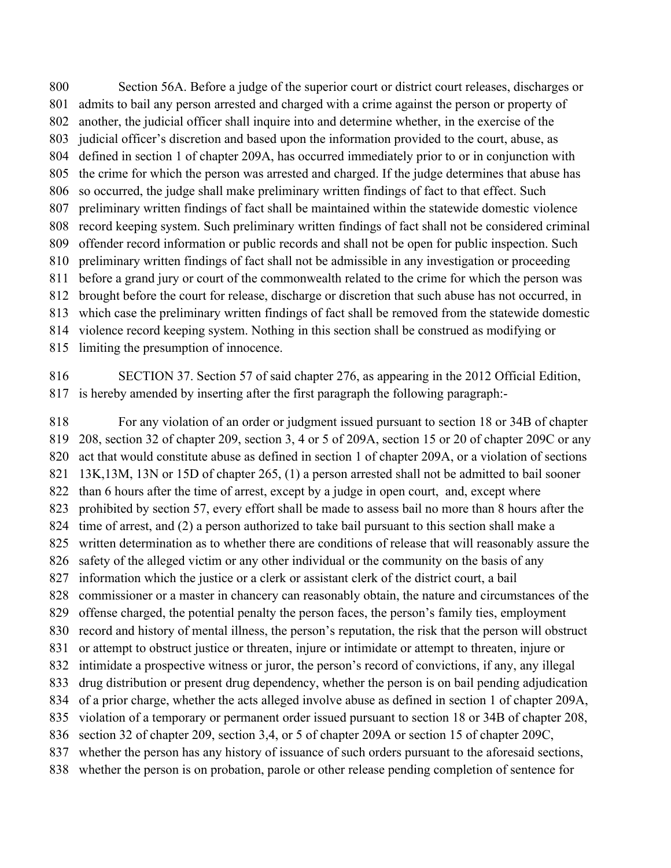Section 56A. Before a judge of the superior court or district court releases, discharges or admits to bail any person arrested and charged with a crime against the person or property of another, the judicial officer shall inquire into and determine whether, in the exercise of the judicial officer's discretion and based upon the information provided to the court, abuse, as defined in section 1 of chapter 209A, has occurred immediately prior to or in conjunction with the crime for which the person was arrested and charged. If the judge determines that abuse has so occurred, the judge shall make preliminary written findings of fact to that effect. Such preliminary written findings of fact shall be maintained within the statewide domestic violence record keeping system. Such preliminary written findings of fact shall not be considered criminal offender record information or public records and shall not be open for public inspection. Such preliminary written findings of fact shall not be admissible in any investigation or proceeding before a grand jury or court of the commonwealth related to the crime for which the person was brought before the court for release, discharge or discretion that such abuse has not occurred, in which case the preliminary written findings of fact shall be removed from the statewide domestic violence record keeping system. Nothing in this section shall be construed as modifying or limiting the presumption of innocence.

 SECTION 37. Section 57 of said chapter 276, as appearing in the 2012 Official Edition, is hereby amended by inserting after the first paragraph the following paragraph:-

 For any violation of an order or judgment issued pursuant to section 18 or 34B of chapter 208, section 32 of chapter 209, section 3, 4 or 5 of 209A, section 15 or 20 of chapter 209C or any act that would constitute abuse as defined in section 1 of chapter 209A, or a violation of sections 13K,13M, 13N or 15D of chapter 265, (1) a person arrested shall not be admitted to bail sooner than 6 hours after the time of arrest, except by a judge in open court, and, except where prohibited by section 57, every effort shall be made to assess bail no more than 8 hours after the time of arrest, and (2) a person authorized to take bail pursuant to this section shall make a written determination as to whether there are conditions of release that will reasonably assure the 826 safety of the alleged victim or any other individual or the community on the basis of any information which the justice or a clerk or assistant clerk of the district court, a bail commissioner or a master in chancery can reasonably obtain, the nature and circumstances of the offense charged, the potential penalty the person faces, the person's family ties, employment record and history of mental illness, the person's reputation, the risk that the person will obstruct or attempt to obstruct justice or threaten, injure or intimidate or attempt to threaten, injure or intimidate a prospective witness or juror, the person's record of convictions, if any, any illegal drug distribution or present drug dependency, whether the person is on bail pending adjudication of a prior charge, whether the acts alleged involve abuse as defined in section 1 of chapter 209A, violation of a temporary or permanent order issued pursuant to section 18 or 34B of chapter 208, section 32 of chapter 209, section 3,4, or 5 of chapter 209A or section 15 of chapter 209C, whether the person has any history of issuance of such orders pursuant to the aforesaid sections, whether the person is on probation, parole or other release pending completion of sentence for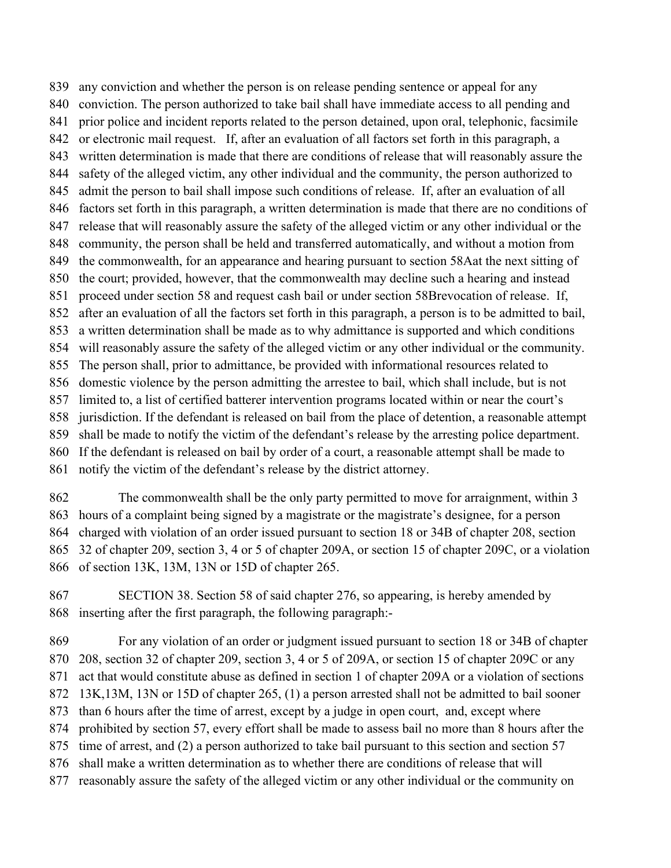any conviction and whether the person is on release pending sentence or appeal for any conviction. The person authorized to take bail shall have immediate access to all pending and prior police and incident reports related to the person detained, upon oral, telephonic, facsimile or electronic mail request. If, after an evaluation of all factors set forth in this paragraph, a written determination is made that there are conditions of release that will reasonably assure the safety of the alleged victim, any other individual and the community, the person authorized to admit the person to bail shall impose such conditions of release. If, after an evaluation of all factors set forth in this paragraph, a written determination is made that there are no conditions of release that will reasonably assure the safety of the alleged victim or any other individual or the community, the person shall be held and transferred automatically, and without a motion from the commonwealth, for an appearance and hearing pursuant to section 58Aat the next sitting of the court; provided, however, that the commonwealth may decline such a hearing and instead proceed under section 58 and request cash bail or under section 58Brevocation of release. If, after an evaluation of all the factors set forth in this paragraph, a person is to be admitted to bail, a written determination shall be made as to why admittance is supported and which conditions will reasonably assure the safety of the alleged victim or any other individual or the community. The person shall, prior to admittance, be provided with informational resources related to domestic violence by the person admitting the arrestee to bail, which shall include, but is not limited to, a list of certified batterer intervention programs located within or near the court's jurisdiction. If the defendant is released on bail from the place of detention, a reasonable attempt shall be made to notify the victim of the defendant's release by the arresting police department. If the defendant is released on bail by order of a court, a reasonable attempt shall be made to notify the victim of the defendant's release by the district attorney.

 The commonwealth shall be the only party permitted to move for arraignment, within 3 hours of a complaint being signed by a magistrate or the magistrate's designee, for a person charged with violation of an order issued pursuant to section 18 or 34B of chapter 208, section 32 of chapter 209, section 3, 4 or 5 of chapter 209A, or section 15 of chapter 209C, or a violation of section 13K, 13M, 13N or 15D of chapter 265.

 SECTION 38. Section 58 of said chapter 276, so appearing, is hereby amended by inserting after the first paragraph, the following paragraph:-

 For any violation of an order or judgment issued pursuant to section 18 or 34B of chapter 208, section 32 of chapter 209, section 3, 4 or 5 of 209A, or section 15 of chapter 209C or any act that would constitute abuse as defined in section 1 of chapter 209A or a violation of sections 13K,13M, 13N or 15D of chapter 265, (1) a person arrested shall not be admitted to bail sooner than 6 hours after the time of arrest, except by a judge in open court, and, except where prohibited by section 57, every effort shall be made to assess bail no more than 8 hours after the time of arrest, and (2) a person authorized to take bail pursuant to this section and section 57 shall make a written determination as to whether there are conditions of release that will reasonably assure the safety of the alleged victim or any other individual or the community on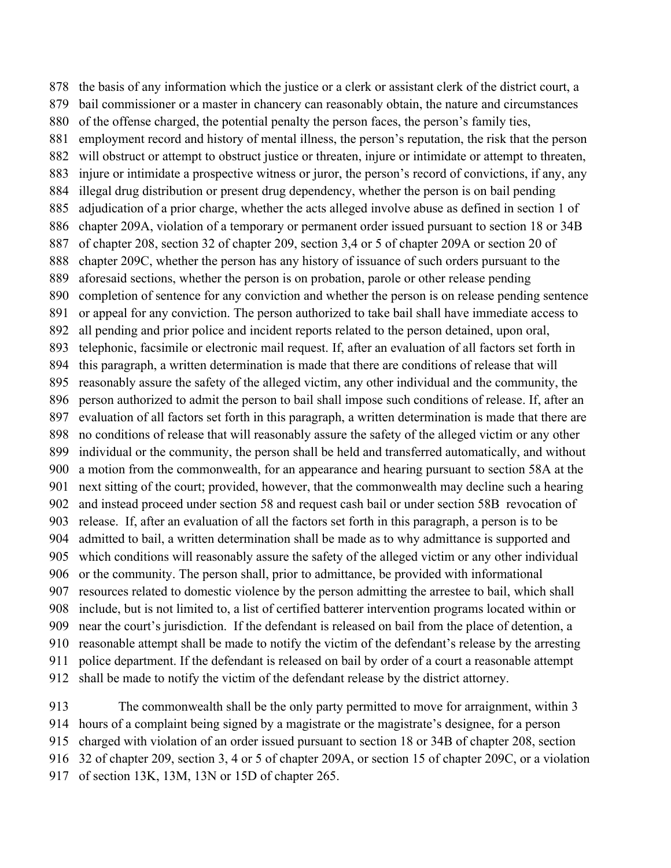the basis of any information which the justice or a clerk or assistant clerk of the district court, a bail commissioner or a master in chancery can reasonably obtain, the nature and circumstances of the offense charged, the potential penalty the person faces, the person's family ties, employment record and history of mental illness, the person's reputation, the risk that the person will obstruct or attempt to obstruct justice or threaten, injure or intimidate or attempt to threaten, injure or intimidate a prospective witness or juror, the person's record of convictions, if any, any illegal drug distribution or present drug dependency, whether the person is on bail pending adjudication of a prior charge, whether the acts alleged involve abuse as defined in section 1 of chapter 209A, violation of a temporary or permanent order issued pursuant to section 18 or 34B of chapter 208, section 32 of chapter 209, section 3,4 or 5 of chapter 209A or section 20 of chapter 209C, whether the person has any history of issuance of such orders pursuant to the aforesaid sections, whether the person is on probation, parole or other release pending completion of sentence for any conviction and whether the person is on release pending sentence or appeal for any conviction. The person authorized to take bail shall have immediate access to all pending and prior police and incident reports related to the person detained, upon oral, telephonic, facsimile or electronic mail request. If, after an evaluation of all factors set forth in this paragraph, a written determination is made that there are conditions of release that will reasonably assure the safety of the alleged victim, any other individual and the community, the person authorized to admit the person to bail shall impose such conditions of release. If, after an evaluation of all factors set forth in this paragraph, a written determination is made that there are no conditions of release that will reasonably assure the safety of the alleged victim or any other individual or the community, the person shall be held and transferred automatically, and without a motion from the commonwealth, for an appearance and hearing pursuant to section 58A at the next sitting of the court; provided, however, that the commonwealth may decline such a hearing and instead proceed under section 58 and request cash bail or under section 58B revocation of release. If, after an evaluation of all the factors set forth in this paragraph, a person is to be admitted to bail, a written determination shall be made as to why admittance is supported and which conditions will reasonably assure the safety of the alleged victim or any other individual or the community. The person shall, prior to admittance, be provided with informational resources related to domestic violence by the person admitting the arrestee to bail, which shall include, but is not limited to, a list of certified batterer intervention programs located within or near the court's jurisdiction. If the defendant is released on bail from the place of detention, a reasonable attempt shall be made to notify the victim of the defendant's release by the arresting police department. If the defendant is released on bail by order of a court a reasonable attempt shall be made to notify the victim of the defendant release by the district attorney.

 The commonwealth shall be the only party permitted to move for arraignment, within 3 hours of a complaint being signed by a magistrate or the magistrate's designee, for a person charged with violation of an order issued pursuant to section 18 or 34B of chapter 208, section 32 of chapter 209, section 3, 4 or 5 of chapter 209A, or section 15 of chapter 209C, or a violation of section 13K, 13M, 13N or 15D of chapter 265.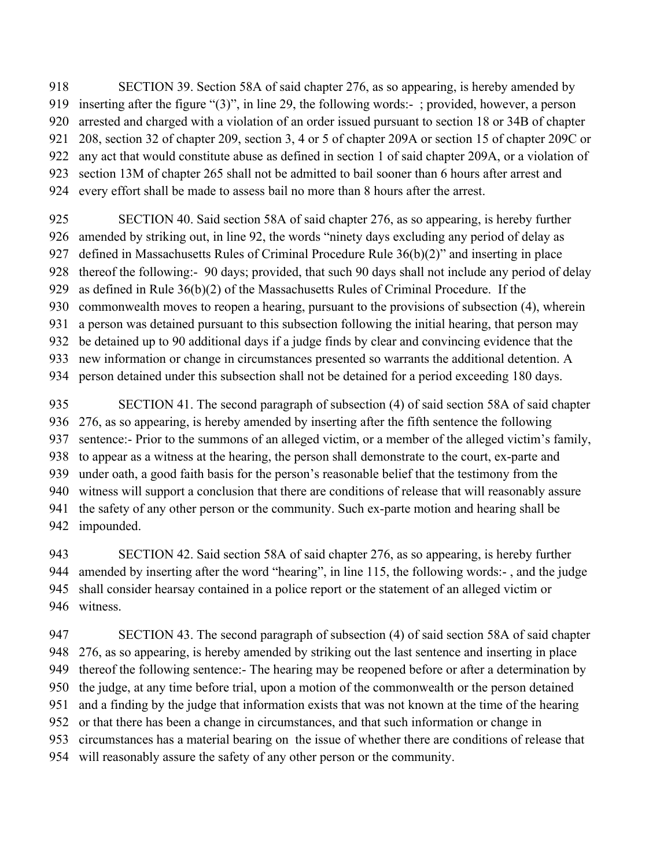SECTION 39. Section 58A of said chapter 276, as so appearing, is hereby amended by inserting after the figure "(3)", in line 29, the following words:- ; provided, however, a person arrested and charged with a violation of an order issued pursuant to section 18 or 34B of chapter 208, section 32 of chapter 209, section 3, 4 or 5 of chapter 209A or section 15 of chapter 209C or any act that would constitute abuse as defined in section 1 of said chapter 209A, or a violation of section 13M of chapter 265 shall not be admitted to bail sooner than 6 hours after arrest and every effort shall be made to assess bail no more than 8 hours after the arrest.

 SECTION 40. Said section 58A of said chapter 276, as so appearing, is hereby further amended by striking out, in line 92, the words "ninety days excluding any period of delay as defined in Massachusetts Rules of Criminal Procedure Rule 36(b)(2)" and inserting in place thereof the following:- 90 days; provided, that such 90 days shall not include any period of delay as defined in Rule 36(b)(2) of the Massachusetts Rules of Criminal Procedure. If the commonwealth moves to reopen a hearing, pursuant to the provisions of subsection (4), wherein a person was detained pursuant to this subsection following the initial hearing, that person may be detained up to 90 additional days if a judge finds by clear and convincing evidence that the new information or change in circumstances presented so warrants the additional detention. A person detained under this subsection shall not be detained for a period exceeding 180 days.

 SECTION 41. The second paragraph of subsection (4) of said section 58A of said chapter 276, as so appearing, is hereby amended by inserting after the fifth sentence the following sentence:- Prior to the summons of an alleged victim, or a member of the alleged victim's family, to appear as a witness at the hearing, the person shall demonstrate to the court, ex-parte and under oath, a good faith basis for the person's reasonable belief that the testimony from the witness will support a conclusion that there are conditions of release that will reasonably assure the safety of any other person or the community. Such ex-parte motion and hearing shall be impounded.

 SECTION 42. Said section 58A of said chapter 276, as so appearing, is hereby further amended by inserting after the word "hearing", in line 115, the following words:- , and the judge shall consider hearsay contained in a police report or the statement of an alleged victim or witness.

 SECTION 43. The second paragraph of subsection (4) of said section 58A of said chapter 276, as so appearing, is hereby amended by striking out the last sentence and inserting in place thereof the following sentence:- The hearing may be reopened before or after a determination by the judge, at any time before trial, upon a motion of the commonwealth or the person detained and a finding by the judge that information exists that was not known at the time of the hearing or that there has been a change in circumstances, and that such information or change in circumstances has a material bearing on the issue of whether there are conditions of release that

will reasonably assure the safety of any other person or the community.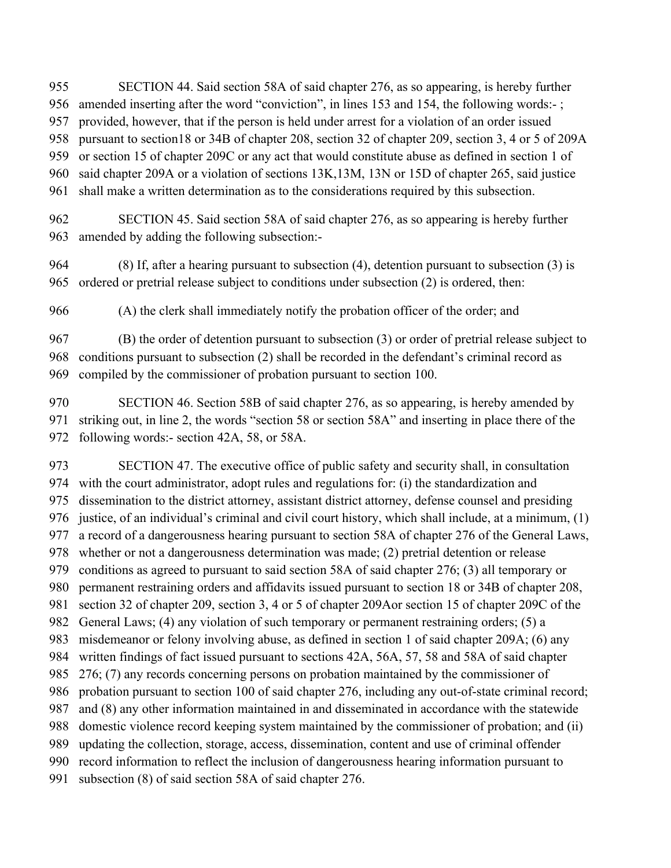SECTION 44. Said section 58A of said chapter 276, as so appearing, is hereby further

- amended inserting after the word "conviction", in lines 153 and 154, the following words:- ;
- provided, however, that if the person is held under arrest for a violation of an order issued

pursuant to section18 or 34B of chapter 208, section 32 of chapter 209, section 3, 4 or 5 of 209A

or section 15 of chapter 209C or any act that would constitute abuse as defined in section 1 of

- said chapter 209A or a violation of sections 13K,13M, 13N or 15D of chapter 265, said justice
- shall make a written determination as to the considerations required by this subsection.

 SECTION 45. Said section 58A of said chapter 276, as so appearing is hereby further amended by adding the following subsection:-

 (8) If, after a hearing pursuant to subsection (4), detention pursuant to subsection (3) is ordered or pretrial release subject to conditions under subsection (2) is ordered, then:

(A) the clerk shall immediately notify the probation officer of the order; and

 (B) the order of detention pursuant to subsection (3) or order of pretrial release subject to conditions pursuant to subsection (2) shall be recorded in the defendant's criminal record as compiled by the commissioner of probation pursuant to section 100.

 SECTION 46. Section 58B of said chapter 276, as so appearing, is hereby amended by striking out, in line 2, the words "section 58 or section 58A" and inserting in place there of the following words:- section 42A, 58, or 58A.

 SECTION 47. The executive office of public safety and security shall, in consultation with the court administrator, adopt rules and regulations for: (i) the standardization and dissemination to the district attorney, assistant district attorney, defense counsel and presiding justice, of an individual's criminal and civil court history, which shall include, at a minimum, (1) a record of a dangerousness hearing pursuant to section 58A of chapter 276 of the General Laws, whether or not a dangerousness determination was made; (2) pretrial detention or release conditions as agreed to pursuant to said section 58A of said chapter 276; (3) all temporary or permanent restraining orders and affidavits issued pursuant to section 18 or 34B of chapter 208, section 32 of chapter 209, section 3, 4 or 5 of chapter 209Aor section 15 of chapter 209C of the General Laws; (4) any violation of such temporary or permanent restraining orders; (5) a misdemeanor or felony involving abuse, as defined in section 1 of said chapter 209A; (6) any written findings of fact issued pursuant to sections 42A, 56A, 57, 58 and 58A of said chapter 276; (7) any records concerning persons on probation maintained by the commissioner of probation pursuant to section 100 of said chapter 276, including any out-of-state criminal record; and (8) any other information maintained in and disseminated in accordance with the statewide domestic violence record keeping system maintained by the commissioner of probation; and (ii) updating the collection, storage, access, dissemination, content and use of criminal offender record information to reflect the inclusion of dangerousness hearing information pursuant to subsection (8) of said section 58A of said chapter 276.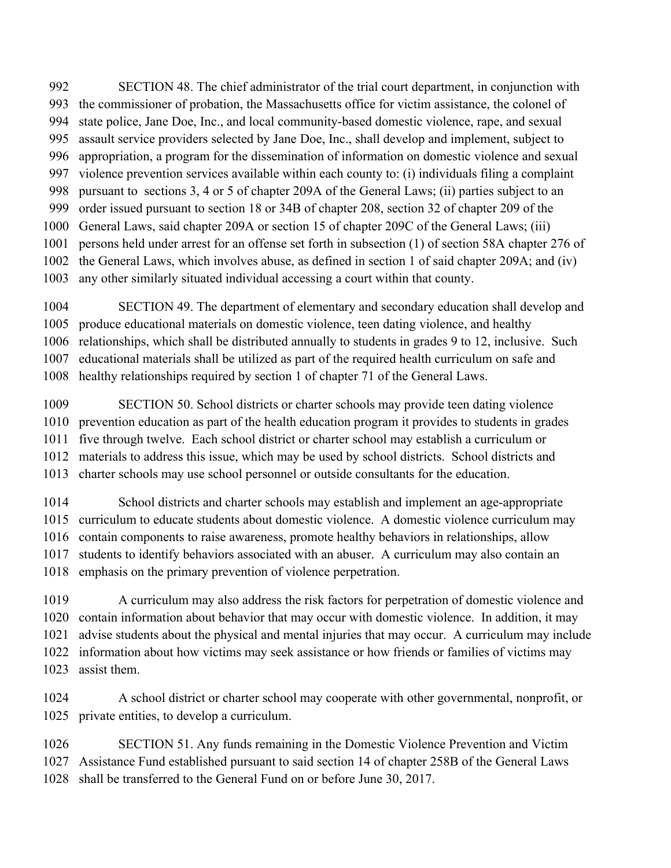SECTION 48. The chief administrator of the trial court department, in conjunction with

- the commissioner of probation, the Massachusetts office for victim assistance, the colonel of
- state police, Jane Doe, Inc., and local community-based domestic violence, rape, and sexual assault service providers selected by Jane Doe, Inc., shall develop and implement, subject to
- appropriation, a program for the dissemination of information on domestic violence and sexual
- violence prevention services available within each county to: (i) individuals filing a complaint
- pursuant to sections 3, 4 or 5 of chapter 209A of the General Laws; (ii) parties subject to an
- order issued pursuant to section 18 or 34B of chapter 208, section 32 of chapter 209 of the
- General Laws, said chapter 209A or section 15 of chapter 209C of the General Laws; (iii)
- persons held under arrest for an offense set forth in subsection (1) of section 58A chapter 276 of
- the General Laws, which involves abuse, as defined in section 1 of said chapter 209A; and (iv)
- any other similarly situated individual accessing a court within that county.
- SECTION 49. The department of elementary and secondary education shall develop and
- produce educational materials on domestic violence, teen dating violence, and healthy
- relationships, which shall be distributed annually to students in grades 9 to 12, inclusive. Such
- educational materials shall be utilized as part of the required health curriculum on safe and
- healthy relationships required by section 1 of chapter 71 of the General Laws.
- SECTION 50. School districts or charter schools may provide teen dating violence prevention education as part of the health education program it provides to students in grades five through twelve. Each school district or charter school may establish a curriculum or materials to address this issue, which may be used by school districts. School districts and
- charter schools may use school personnel or outside consultants for the education.
- School districts and charter schools may establish and implement an age-appropriate curriculum to educate students about domestic violence. A domestic violence curriculum may contain components to raise awareness, promote healthy behaviors in relationships, allow students to identify behaviors associated with an abuser. A curriculum may also contain an emphasis on the primary prevention of violence perpetration.
- A curriculum may also address the risk factors for perpetration of domestic violence and contain information about behavior that may occur with domestic violence. In addition, it may advise students about the physical and mental injuries that may occur. A curriculum may include information about how victims may seek assistance or how friends or families of victims may assist them.
- A school district or charter school may cooperate with other governmental, nonprofit, or private entities, to develop a curriculum.
- SECTION 51. Any funds remaining in the Domestic Violence Prevention and Victim Assistance Fund established pursuant to said section 14 of chapter 258B of the General Laws shall be transferred to the General Fund on or before June 30, 2017.